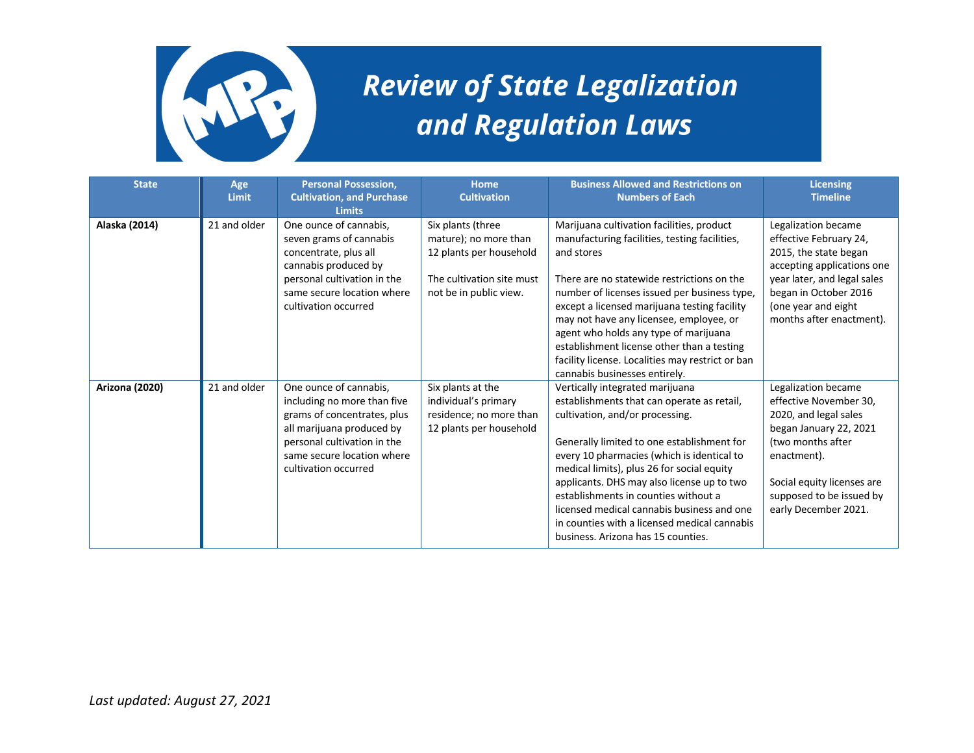

## **Review of State Legalization** and Regulation Laws

| <b>State</b>          | Age<br>Limit | <b>Personal Possession,</b><br><b>Cultivation, and Purchase</b><br><b>Limits</b>                                                                                                                       | <b>Home</b><br><b>Cultivation</b>                                                                                            | <b>Business Allowed and Restrictions on</b><br><b>Numbers of Each</b>                                                                                                                                                                                                                                                                                                                                                                                                                | <b>Licensing</b><br><b>Timeline</b>                                                                                                                                                                                    |
|-----------------------|--------------|--------------------------------------------------------------------------------------------------------------------------------------------------------------------------------------------------------|------------------------------------------------------------------------------------------------------------------------------|--------------------------------------------------------------------------------------------------------------------------------------------------------------------------------------------------------------------------------------------------------------------------------------------------------------------------------------------------------------------------------------------------------------------------------------------------------------------------------------|------------------------------------------------------------------------------------------------------------------------------------------------------------------------------------------------------------------------|
| Alaska (2014)         | 21 and older | One ounce of cannabis.<br>seven grams of cannabis<br>concentrate, plus all<br>cannabis produced by<br>personal cultivation in the<br>same secure location where<br>cultivation occurred                | Six plants (three<br>mature); no more than<br>12 plants per household<br>The cultivation site must<br>not be in public view. | Marijuana cultivation facilities, product<br>manufacturing facilities, testing facilities,<br>and stores<br>There are no statewide restrictions on the<br>number of licenses issued per business type,<br>except a licensed marijuana testing facility<br>may not have any licensee, employee, or<br>agent who holds any type of marijuana<br>establishment license other than a testing<br>facility license. Localities may restrict or ban<br>cannabis businesses entirely.        | Legalization became<br>effective February 24,<br>2015, the state began<br>accepting applications one<br>year later, and legal sales<br>began in October 2016<br>(one year and eight<br>months after enactment).        |
| <b>Arizona (2020)</b> | 21 and older | One ounce of cannabis,<br>including no more than five<br>grams of concentrates, plus<br>all marijuana produced by<br>personal cultivation in the<br>same secure location where<br>cultivation occurred | Six plants at the<br>individual's primary<br>residence; no more than<br>12 plants per household                              | Vertically integrated marijuana<br>establishments that can operate as retail,<br>cultivation, and/or processing.<br>Generally limited to one establishment for<br>every 10 pharmacies (which is identical to<br>medical limits), plus 26 for social equity<br>applicants. DHS may also license up to two<br>establishments in counties without a<br>licensed medical cannabis business and one<br>in counties with a licensed medical cannabis<br>business. Arizona has 15 counties. | Legalization became<br>effective November 30,<br>2020, and legal sales<br>began January 22, 2021<br>(two months after<br>enactment).<br>Social equity licenses are<br>supposed to be issued by<br>early December 2021. |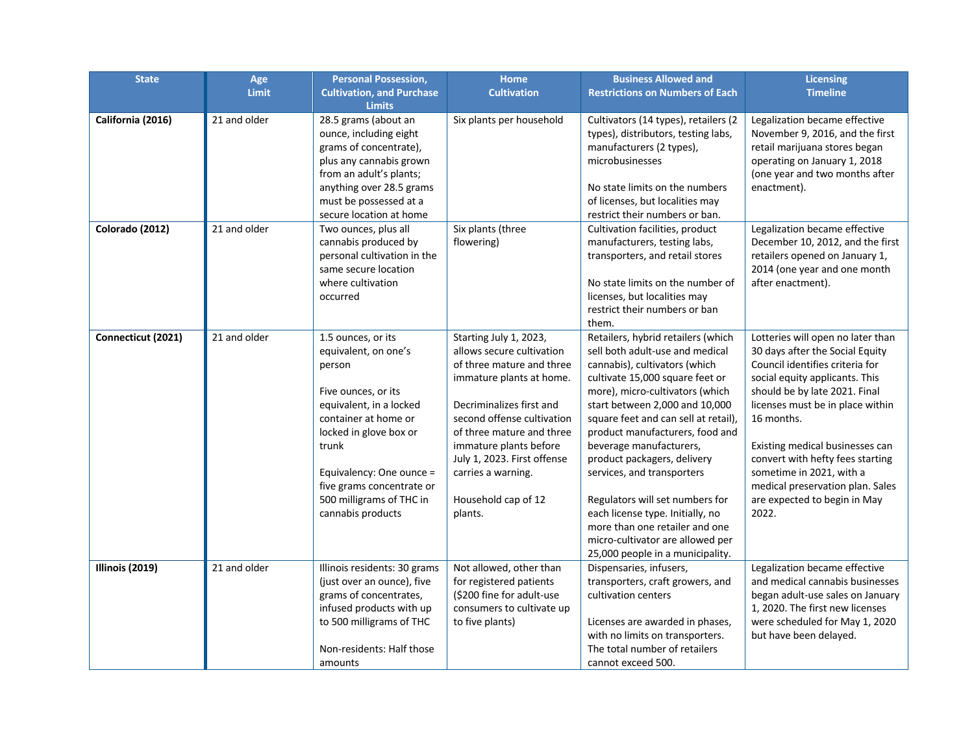| <b>State</b>       | Age          | <b>Personal Possession,</b>                                                                                                                                                                                                                                                 | <b>Home</b>                                                                                                                                                                                                                                                                                                          | <b>Business Allowed and</b>                                                                                                                                                                                                                                                                                                                                                                                                                                                                                                                                        | <b>Licensing</b>                                                                                                                                                                                                                                                                                                                                                                                             |
|--------------------|--------------|-----------------------------------------------------------------------------------------------------------------------------------------------------------------------------------------------------------------------------------------------------------------------------|----------------------------------------------------------------------------------------------------------------------------------------------------------------------------------------------------------------------------------------------------------------------------------------------------------------------|--------------------------------------------------------------------------------------------------------------------------------------------------------------------------------------------------------------------------------------------------------------------------------------------------------------------------------------------------------------------------------------------------------------------------------------------------------------------------------------------------------------------------------------------------------------------|--------------------------------------------------------------------------------------------------------------------------------------------------------------------------------------------------------------------------------------------------------------------------------------------------------------------------------------------------------------------------------------------------------------|
|                    | Limit        | <b>Cultivation, and Purchase</b><br><b>Limits</b>                                                                                                                                                                                                                           | <b>Cultivation</b>                                                                                                                                                                                                                                                                                                   | <b>Restrictions on Numbers of Each</b>                                                                                                                                                                                                                                                                                                                                                                                                                                                                                                                             | <b>Timeline</b>                                                                                                                                                                                                                                                                                                                                                                                              |
| California (2016)  | 21 and older | 28.5 grams (about an<br>ounce, including eight<br>grams of concentrate),<br>plus any cannabis grown<br>from an adult's plants;<br>anything over 28.5 grams<br>must be possessed at a<br>secure location at home                                                             | Six plants per household                                                                                                                                                                                                                                                                                             | Cultivators (14 types), retailers (2<br>types), distributors, testing labs,<br>manufacturers (2 types),<br>microbusinesses<br>No state limits on the numbers<br>of licenses, but localities may<br>restrict their numbers or ban.                                                                                                                                                                                                                                                                                                                                  | Legalization became effective<br>November 9, 2016, and the first<br>retail marijuana stores began<br>operating on January 1, 2018<br>(one year and two months after<br>enactment).                                                                                                                                                                                                                           |
| Colorado (2012)    | 21 and older | Two ounces, plus all<br>cannabis produced by<br>personal cultivation in the<br>same secure location<br>where cultivation<br>occurred                                                                                                                                        | Six plants (three<br>flowering)                                                                                                                                                                                                                                                                                      | Cultivation facilities, product<br>manufacturers, testing labs,<br>transporters, and retail stores<br>No state limits on the number of<br>licenses, but localities may<br>restrict their numbers or ban<br>them.                                                                                                                                                                                                                                                                                                                                                   | Legalization became effective<br>December 10, 2012, and the first<br>retailers opened on January 1,<br>2014 (one year and one month<br>after enactment).                                                                                                                                                                                                                                                     |
| Connecticut (2021) | 21 and older | 1.5 ounces, or its<br>equivalent, on one's<br>person<br>Five ounces, or its<br>equivalent, in a locked<br>container at home or<br>locked in glove box or<br>trunk<br>Equivalency: One ounce =<br>five grams concentrate or<br>500 milligrams of THC in<br>cannabis products | Starting July 1, 2023,<br>allows secure cultivation<br>of three mature and three<br>immature plants at home.<br>Decriminalizes first and<br>second offense cultivation<br>of three mature and three<br>immature plants before<br>July 1, 2023. First offense<br>carries a warning.<br>Household cap of 12<br>plants. | Retailers, hybrid retailers (which<br>sell both adult-use and medical<br>cannabis), cultivators (which<br>cultivate 15,000 square feet or<br>more), micro-cultivators (which<br>start between 2,000 and 10,000<br>square feet and can sell at retail),<br>product manufacturers, food and<br>beverage manufacturers,<br>product packagers, delivery<br>services, and transporters<br>Regulators will set numbers for<br>each license type. Initially, no<br>more than one retailer and one<br>micro-cultivator are allowed per<br>25,000 people in a municipality. | Lotteries will open no later than<br>30 days after the Social Equity<br>Council identifies criteria for<br>social equity applicants. This<br>should be by late 2021. Final<br>licenses must be in place within<br>16 months.<br>Existing medical businesses can<br>convert with hefty fees starting<br>sometime in 2021, with a<br>medical preservation plan. Sales<br>are expected to begin in May<br>2022. |
| Illinois (2019)    | 21 and older | Illinois residents: 30 grams<br>(just over an ounce), five<br>grams of concentrates,<br>infused products with up<br>to 500 milligrams of THC<br>Non-residents: Half those<br>amounts                                                                                        | Not allowed, other than<br>for registered patients<br>(\$200 fine for adult-use)<br>consumers to cultivate up<br>to five plants)                                                                                                                                                                                     | Dispensaries, infusers,<br>transporters, craft growers, and<br>cultivation centers<br>Licenses are awarded in phases,<br>with no limits on transporters.<br>The total number of retailers<br>cannot exceed 500.                                                                                                                                                                                                                                                                                                                                                    | Legalization became effective<br>and medical cannabis businesses<br>began adult-use sales on January<br>1, 2020. The first new licenses<br>were scheduled for May 1, 2020<br>but have been delayed.                                                                                                                                                                                                          |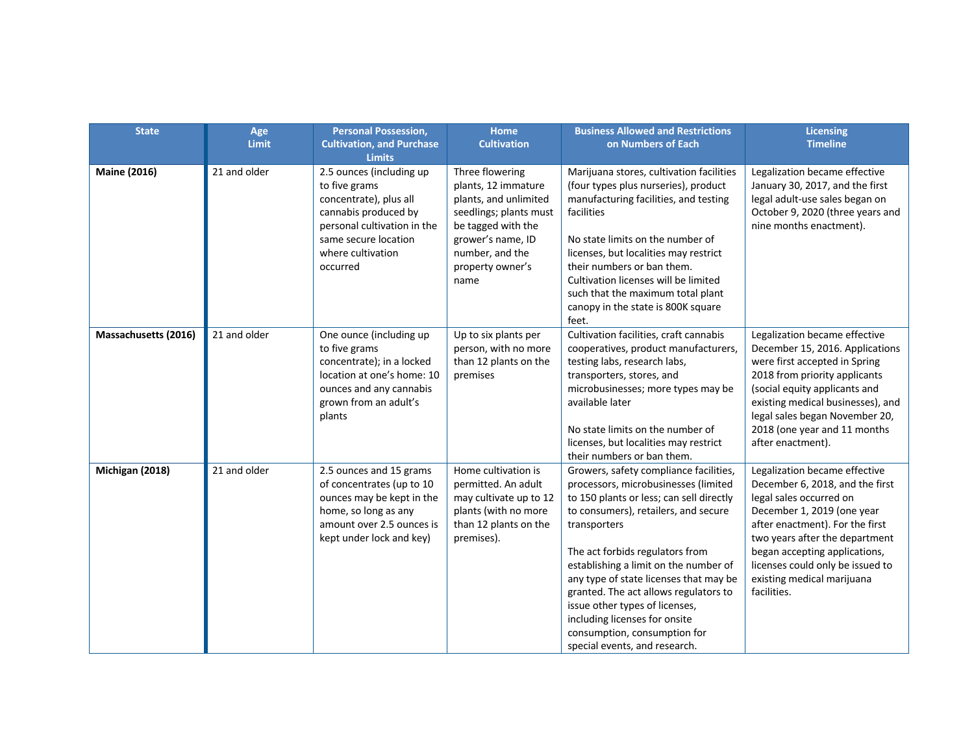| <b>State</b>         | Age<br><b>Limit</b> | <b>Personal Possession,</b><br><b>Cultivation, and Purchase</b><br><b>Limits</b>                                                                                                    | <b>Home</b><br><b>Cultivation</b>                                                                                                                                                   | <b>Business Allowed and Restrictions</b><br>on Numbers of Each                                                                                                                                                                                                                                                                                                                                                                                                                        | <b>Licensing</b><br><b>Timeline</b>                                                                                                                                                                                                                                                                              |
|----------------------|---------------------|-------------------------------------------------------------------------------------------------------------------------------------------------------------------------------------|-------------------------------------------------------------------------------------------------------------------------------------------------------------------------------------|---------------------------------------------------------------------------------------------------------------------------------------------------------------------------------------------------------------------------------------------------------------------------------------------------------------------------------------------------------------------------------------------------------------------------------------------------------------------------------------|------------------------------------------------------------------------------------------------------------------------------------------------------------------------------------------------------------------------------------------------------------------------------------------------------------------|
| <b>Maine (2016)</b>  | 21 and older        | 2.5 ounces (including up<br>to five grams<br>concentrate), plus all<br>cannabis produced by<br>personal cultivation in the<br>same secure location<br>where cultivation<br>occurred | Three flowering<br>plants, 12 immature<br>plants, and unlimited<br>seedlings; plants must<br>be tagged with the<br>grower's name, ID<br>number, and the<br>property owner's<br>name | Marijuana stores, cultivation facilities<br>(four types plus nurseries), product<br>manufacturing facilities, and testing<br>facilities<br>No state limits on the number of<br>licenses, but localities may restrict<br>their numbers or ban them.<br>Cultivation licenses will be limited<br>such that the maximum total plant<br>canopy in the state is 800K square<br>feet.                                                                                                        | Legalization became effective<br>January 30, 2017, and the first<br>legal adult-use sales began on<br>October 9, 2020 (three years and<br>nine months enactment).                                                                                                                                                |
| Massachusetts (2016) | 21 and older        | One ounce (including up<br>to five grams<br>concentrate); in a locked<br>location at one's home: 10<br>ounces and any cannabis<br>grown from an adult's<br>plants                   | Up to six plants per<br>person, with no more<br>than 12 plants on the<br>premises                                                                                                   | Cultivation facilities, craft cannabis<br>cooperatives, product manufacturers,<br>testing labs, research labs,<br>transporters, stores, and<br>microbusinesses; more types may be<br>available later<br>No state limits on the number of<br>licenses, but localities may restrict<br>their numbers or ban them.                                                                                                                                                                       | Legalization became effective<br>December 15, 2016. Applications<br>were first accepted in Spring<br>2018 from priority applicants<br>(social equity applicants and<br>existing medical businesses), and<br>legal sales began November 20,<br>2018 (one year and 11 months<br>after enactment).                  |
| Michigan (2018)      | 21 and older        | 2.5 ounces and 15 grams<br>of concentrates (up to 10<br>ounces may be kept in the<br>home, so long as any<br>amount over 2.5 ounces is<br>kept under lock and key)                  | Home cultivation is<br>permitted. An adult<br>may cultivate up to 12<br>plants (with no more<br>than 12 plants on the<br>premises).                                                 | Growers, safety compliance facilities,<br>processors, microbusinesses (limited<br>to 150 plants or less; can sell directly<br>to consumers), retailers, and secure<br>transporters<br>The act forbids regulators from<br>establishing a limit on the number of<br>any type of state licenses that may be<br>granted. The act allows regulators to<br>issue other types of licenses,<br>including licenses for onsite<br>consumption, consumption for<br>special events, and research. | Legalization became effective<br>December 6, 2018, and the first<br>legal sales occurred on<br>December 1, 2019 (one year<br>after enactment). For the first<br>two years after the department<br>began accepting applications,<br>licenses could only be issued to<br>existing medical marijuana<br>facilities. |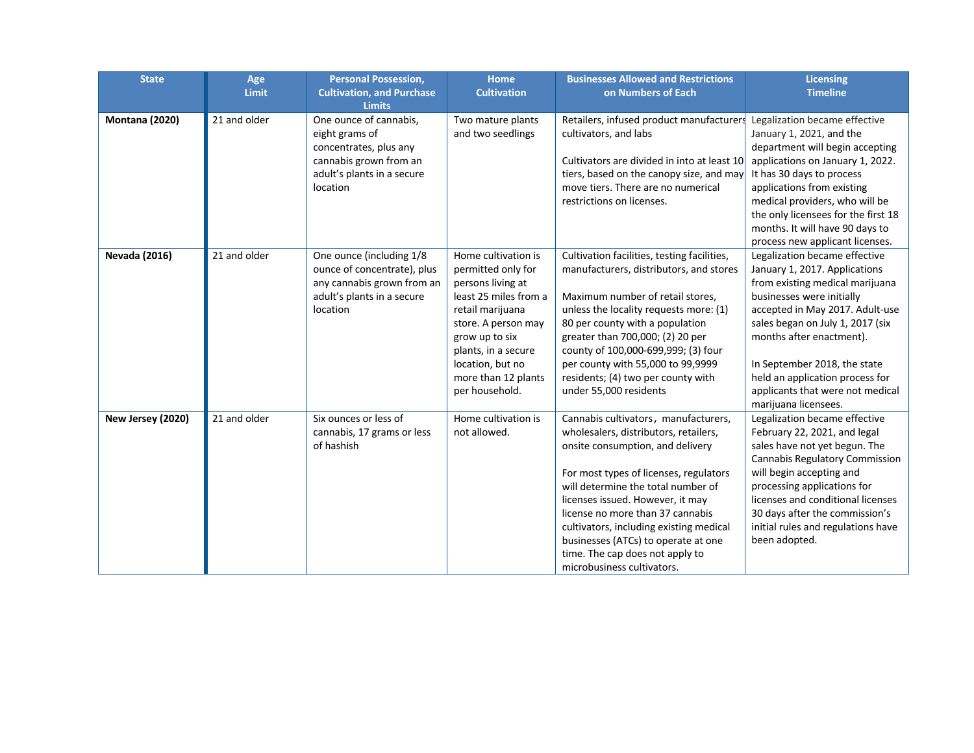| <b>State</b>          | Age          | <b>Personal Possession,</b>                              | <b>Home</b>                                | <b>Businesses Allowed and Restrictions</b>  | <b>Licensing</b>                                             |
|-----------------------|--------------|----------------------------------------------------------|--------------------------------------------|---------------------------------------------|--------------------------------------------------------------|
|                       | <b>Limit</b> | <b>Cultivation, and Purchase</b>                         | <b>Cultivation</b>                         | on Numbers of Each                          | <b>Timeline</b>                                              |
|                       |              | <b>Limits</b>                                            |                                            |                                             |                                                              |
| <b>Montana (2020)</b> | 21 and older | One ounce of cannabis,                                   | Two mature plants                          | Retailers, infused product manufacturers    | Legalization became effective                                |
|                       |              | eight grams of                                           | and two seedlings                          | cultivators, and labs                       | January 1, 2021, and the                                     |
|                       |              | concentrates, plus any                                   |                                            |                                             | department will begin accepting                              |
|                       |              | cannabis grown from an                                   |                                            | Cultivators are divided in into at least 10 | applications on January 1, 2022.                             |
|                       |              | adult's plants in a secure                               |                                            | tiers, based on the canopy size, and may    | It has 30 days to process                                    |
|                       |              | location                                                 |                                            | move tiers. There are no numerical          | applications from existing                                   |
|                       |              |                                                          |                                            | restrictions on licenses.                   | medical providers, who will be                               |
|                       |              |                                                          |                                            |                                             | the only licensees for the first 18                          |
|                       |              |                                                          |                                            |                                             | months. It will have 90 days to                              |
|                       |              |                                                          |                                            |                                             | process new applicant licenses.                              |
| <b>Nevada (2016)</b>  | 21 and older | One ounce (including 1/8                                 | Home cultivation is                        | Cultivation facilities, testing facilities, | Legalization became effective                                |
|                       |              | ounce of concentrate), plus                              | permitted only for                         | manufacturers, distributors, and stores     | January 1, 2017. Applications                                |
|                       |              | any cannabis grown from an<br>adult's plants in a secure | persons living at<br>least 25 miles from a | Maximum number of retail stores,            | from existing medical marijuana<br>businesses were initially |
|                       |              | location                                                 | retail marijuana                           | unless the locality requests more: (1)      | accepted in May 2017. Adult-use                              |
|                       |              |                                                          | store. A person may                        | 80 per county with a population             | sales began on July 1, 2017 (six                             |
|                       |              |                                                          | grow up to six                             | greater than 700,000; (2) 20 per            | months after enactment).                                     |
|                       |              |                                                          | plants, in a secure                        | county of 100,000-699,999; (3) four         |                                                              |
|                       |              |                                                          | location, but no                           | per county with 55,000 to 99,9999           | In September 2018, the state                                 |
|                       |              |                                                          | more than 12 plants                        | residents; (4) two per county with          | held an application process for                              |
|                       |              |                                                          | per household.                             | under 55,000 residents                      | applicants that were not medical                             |
|                       |              |                                                          |                                            |                                             | marijuana licensees.                                         |
| New Jersey (2020)     | 21 and older | Six ounces or less of                                    | Home cultivation is                        | Cannabis cultivators, manufacturers,        | Legalization became effective                                |
|                       |              | cannabis, 17 grams or less                               | not allowed.                               | wholesalers, distributors, retailers,       | February 22, 2021, and legal                                 |
|                       |              | of hashish                                               |                                            | onsite consumption, and delivery            | sales have not yet begun. The                                |
|                       |              |                                                          |                                            |                                             | Cannabis Regulatory Commission                               |
|                       |              |                                                          |                                            | For most types of licenses, regulators      | will begin accepting and                                     |
|                       |              |                                                          |                                            | will determine the total number of          | processing applications for                                  |
|                       |              |                                                          |                                            | licenses issued. However, it may            | licenses and conditional licenses                            |
|                       |              |                                                          |                                            | license no more than 37 cannabis            | 30 days after the commission's                               |
|                       |              |                                                          |                                            | cultivators, including existing medical     | initial rules and regulations have                           |
|                       |              |                                                          |                                            | businesses (ATCs) to operate at one         | been adopted.                                                |
|                       |              |                                                          |                                            | time. The cap does not apply to             |                                                              |
|                       |              |                                                          |                                            | microbusiness cultivators.                  |                                                              |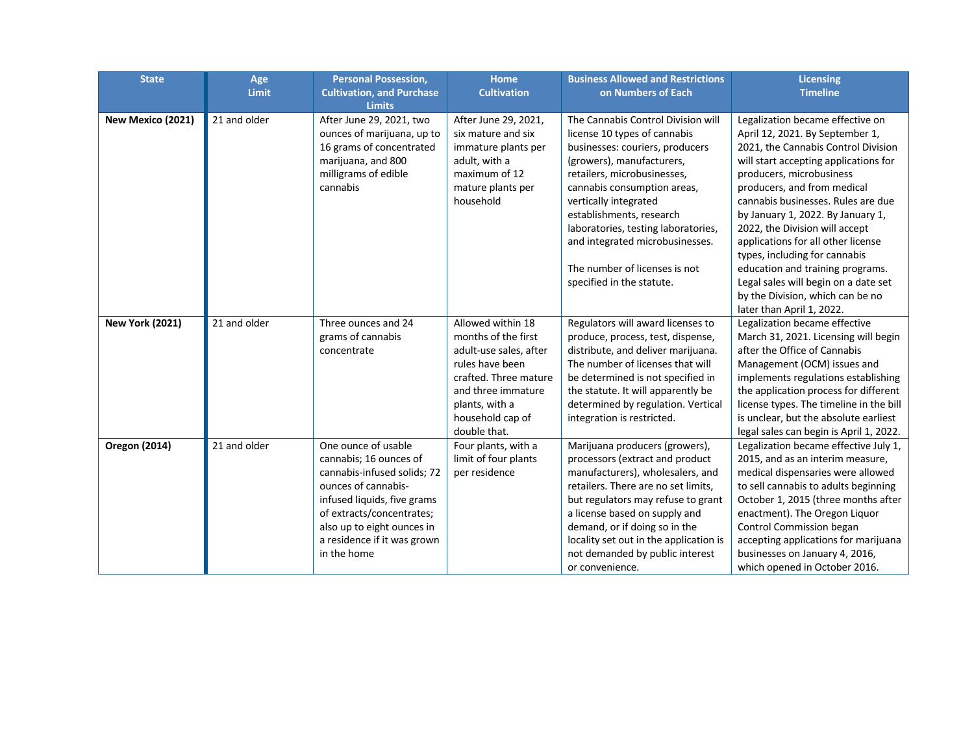| <b>State</b>           | Age          | <b>Personal Possession,</b>      | <b>Home</b>            | <b>Business Allowed and Restrictions</b> | <b>Licensing</b>                        |
|------------------------|--------------|----------------------------------|------------------------|------------------------------------------|-----------------------------------------|
|                        | Limit        | <b>Cultivation, and Purchase</b> | <b>Cultivation</b>     | on Numbers of Each                       | <b>Timeline</b>                         |
|                        |              | <b>Limits</b>                    |                        |                                          |                                         |
| New Mexico (2021)      | 21 and older | After June 29, 2021, two         | After June 29, 2021,   | The Cannabis Control Division will       | Legalization became effective on        |
|                        |              | ounces of marijuana, up to       | six mature and six     | license 10 types of cannabis             | April 12, 2021. By September 1,         |
|                        |              | 16 grams of concentrated         | immature plants per    | businesses: couriers, producers          | 2021, the Cannabis Control Division     |
|                        |              | marijuana, and 800               | adult, with a          | (growers), manufacturers,                | will start accepting applications for   |
|                        |              | milligrams of edible             | maximum of 12          | retailers, microbusinesses,              | producers, microbusiness                |
|                        |              | cannabis                         | mature plants per      | cannabis consumption areas,              | producers, and from medical             |
|                        |              |                                  | household              | vertically integrated                    | cannabis businesses. Rules are due      |
|                        |              |                                  |                        | establishments, research                 | by January 1, 2022. By January 1,       |
|                        |              |                                  |                        | laboratories, testing laboratories,      | 2022, the Division will accept          |
|                        |              |                                  |                        | and integrated microbusinesses.          | applications for all other license      |
|                        |              |                                  |                        |                                          | types, including for cannabis           |
|                        |              |                                  |                        | The number of licenses is not            | education and training programs.        |
|                        |              |                                  |                        | specified in the statute.                | Legal sales will begin on a date set    |
|                        |              |                                  |                        |                                          | by the Division, which can be no        |
|                        |              |                                  |                        |                                          | later than April 1, 2022.               |
| <b>New York (2021)</b> | 21 and older | Three ounces and 24              | Allowed within 18      | Regulators will award licenses to        | Legalization became effective           |
|                        |              | grams of cannabis                | months of the first    | produce, process, test, dispense,        | March 31, 2021. Licensing will begin    |
|                        |              | concentrate                      | adult-use sales, after | distribute, and deliver marijuana.       | after the Office of Cannabis            |
|                        |              |                                  | rules have been        | The number of licenses that will         | Management (OCM) issues and             |
|                        |              |                                  | crafted. Three mature  | be determined is not specified in        | implements regulations establishing     |
|                        |              |                                  | and three immature     | the statute. It will apparently be       | the application process for different   |
|                        |              |                                  | plants, with a         | determined by regulation. Vertical       | license types. The timeline in the bill |
|                        |              |                                  | household cap of       | integration is restricted.               | is unclear, but the absolute earliest   |
|                        |              |                                  | double that.           |                                          | legal sales can begin is April 1, 2022. |
| <b>Oregon (2014)</b>   | 21 and older | One ounce of usable              | Four plants, with a    | Marijuana producers (growers),           | Legalization became effective July 1,   |
|                        |              | cannabis; 16 ounces of           | limit of four plants   | processors (extract and product          | 2015, and as an interim measure,        |
|                        |              | cannabis-infused solids; 72      | per residence          | manufacturers), wholesalers, and         | medical dispensaries were allowed       |
|                        |              | ounces of cannabis-              |                        | retailers. There are no set limits,      | to sell cannabis to adults beginning    |
|                        |              | infused liquids, five grams      |                        | but regulators may refuse to grant       | October 1, 2015 (three months after     |
|                        |              | of extracts/concentrates;        |                        | a license based on supply and            | enactment). The Oregon Liquor           |
|                        |              | also up to eight ounces in       |                        | demand, or if doing so in the            | Control Commission began                |
|                        |              | a residence if it was grown      |                        | locality set out in the application is   | accepting applications for marijuana    |
|                        |              | in the home                      |                        | not demanded by public interest          | businesses on January 4, 2016,          |
|                        |              |                                  |                        | or convenience.                          | which opened in October 2016.           |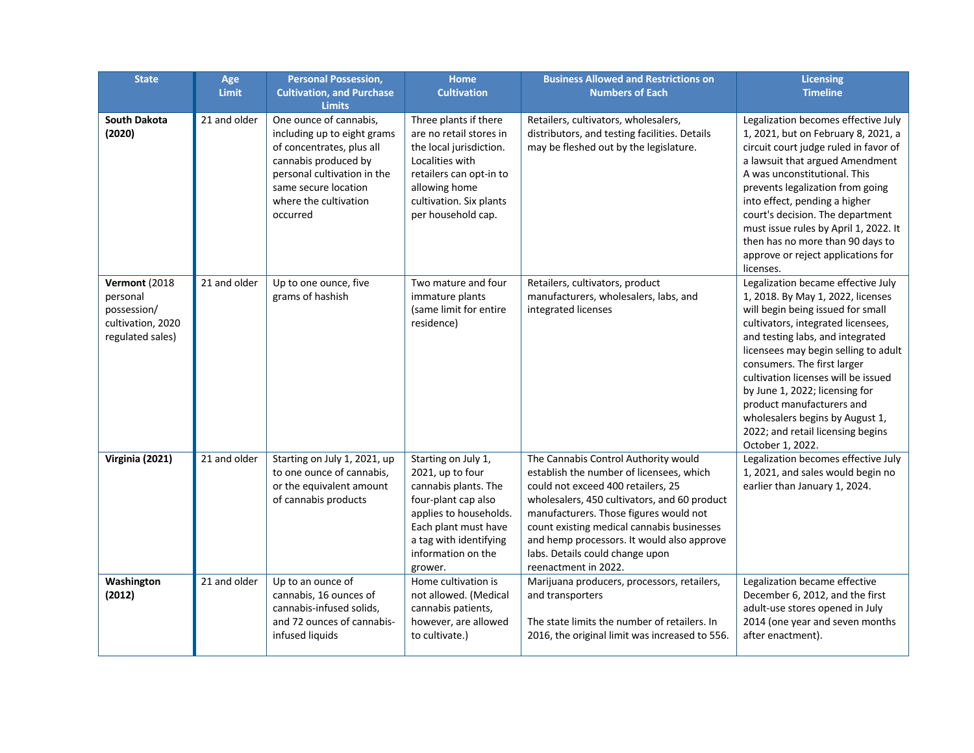| <b>State</b>                                                                      | Age<br><b>Limit</b> | <b>Personal Possession,</b><br><b>Cultivation, and Purchase</b><br><b>Limits</b>                                                                                                                       | <b>Home</b><br><b>Cultivation</b>                                                                                                                                                                   | <b>Business Allowed and Restrictions on</b><br><b>Numbers of Each</b>                                                                                                                                                                                                                                                                                                   | <b>Licensing</b><br><b>Timeline</b>                                                                                                                                                                                                                                                                                                                                                                                                                             |
|-----------------------------------------------------------------------------------|---------------------|--------------------------------------------------------------------------------------------------------------------------------------------------------------------------------------------------------|-----------------------------------------------------------------------------------------------------------------------------------------------------------------------------------------------------|-------------------------------------------------------------------------------------------------------------------------------------------------------------------------------------------------------------------------------------------------------------------------------------------------------------------------------------------------------------------------|-----------------------------------------------------------------------------------------------------------------------------------------------------------------------------------------------------------------------------------------------------------------------------------------------------------------------------------------------------------------------------------------------------------------------------------------------------------------|
| <b>South Dakota</b><br>(2020)                                                     | 21 and older        | One ounce of cannabis,<br>including up to eight grams<br>of concentrates, plus all<br>cannabis produced by<br>personal cultivation in the<br>same secure location<br>where the cultivation<br>occurred | Three plants if there<br>are no retail stores in<br>the local jurisdiction.<br>Localities with<br>retailers can opt-in to<br>allowing home<br>cultivation. Six plants<br>per household cap.         | Retailers, cultivators, wholesalers,<br>distributors, and testing facilities. Details<br>may be fleshed out by the legislature.                                                                                                                                                                                                                                         | Legalization becomes effective July<br>1, 2021, but on February 8, 2021, a<br>circuit court judge ruled in favor of<br>a lawsuit that argued Amendment<br>A was unconstitutional. This<br>prevents legalization from going<br>into effect, pending a higher<br>court's decision. The department<br>must issue rules by April 1, 2022. It<br>then has no more than 90 days to<br>approve or reject applications for<br>licenses.                                 |
| Vermont (2018<br>personal<br>possession/<br>cultivation, 2020<br>regulated sales) | 21 and older        | Up to one ounce, five<br>grams of hashish                                                                                                                                                              | Two mature and four<br>immature plants<br>(same limit for entire<br>residence)                                                                                                                      | Retailers, cultivators, product<br>manufacturers, wholesalers, labs, and<br>integrated licenses                                                                                                                                                                                                                                                                         | Legalization became effective July<br>1, 2018. By May 1, 2022, licenses<br>will begin being issued for small<br>cultivators, integrated licensees,<br>and testing labs, and integrated<br>licensees may begin selling to adult<br>consumers. The first larger<br>cultivation licenses will be issued<br>by June 1, 2022; licensing for<br>product manufacturers and<br>wholesalers begins by August 1,<br>2022; and retail licensing begins<br>October 1, 2022. |
| Virginia (2021)                                                                   | 21 and older        | Starting on July 1, 2021, up<br>to one ounce of cannabis,<br>or the equivalent amount<br>of cannabis products                                                                                          | Starting on July 1,<br>2021, up to four<br>cannabis plants. The<br>four-plant cap also<br>applies to households.<br>Each plant must have<br>a tag with identifying<br>information on the<br>grower. | The Cannabis Control Authority would<br>establish the number of licensees, which<br>could not exceed 400 retailers, 25<br>wholesalers, 450 cultivators, and 60 product<br>manufacturers. Those figures would not<br>count existing medical cannabis businesses<br>and hemp processors. It would also approve<br>labs. Details could change upon<br>reenactment in 2022. | Legalization becomes effective July<br>1, 2021, and sales would begin no<br>earlier than January 1, 2024.                                                                                                                                                                                                                                                                                                                                                       |
| Washington<br>(2012)                                                              | 21 and older        | Up to an ounce of<br>cannabis, 16 ounces of<br>cannabis-infused solids.<br>and 72 ounces of cannabis-<br>infused liquids                                                                               | Home cultivation is<br>not allowed. (Medical<br>cannabis patients,<br>however, are allowed<br>to cultivate.)                                                                                        | Marijuana producers, processors, retailers,<br>and transporters<br>The state limits the number of retailers. In<br>2016, the original limit was increased to 556.                                                                                                                                                                                                       | Legalization became effective<br>December 6, 2012, and the first<br>adult-use stores opened in July<br>2014 (one year and seven months<br>after enactment).                                                                                                                                                                                                                                                                                                     |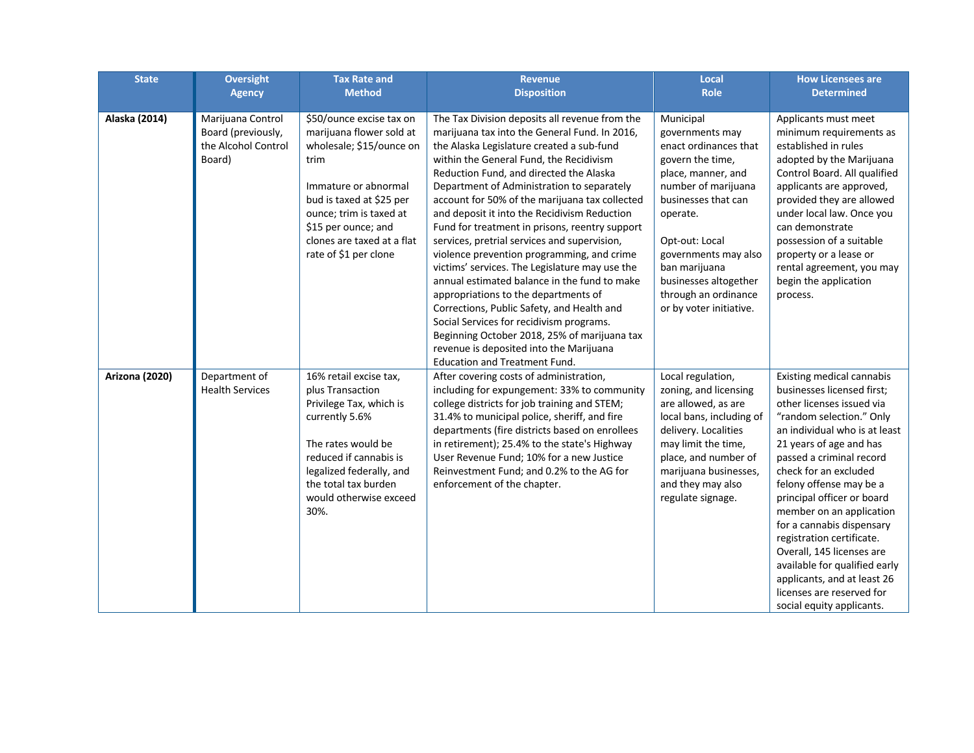| <b>State</b>   | <b>Oversight</b><br><b>Agency</b>                                        | <b>Tax Rate and</b><br><b>Method</b>                                                                                                                                                                                                                  | <b>Revenue</b><br><b>Disposition</b>                                                                                                                                                                                                                                                                                                                                                                                                                                                                                                                                                                                                                                                                                                                                                                                                                                                                      | Local<br><b>Role</b>                                                                                                                                                                                                                                                                             | <b>How Licensees are</b><br><b>Determined</b>                                                                                                                                                                                                                                                                                                                                                                                                                                                                                           |
|----------------|--------------------------------------------------------------------------|-------------------------------------------------------------------------------------------------------------------------------------------------------------------------------------------------------------------------------------------------------|-----------------------------------------------------------------------------------------------------------------------------------------------------------------------------------------------------------------------------------------------------------------------------------------------------------------------------------------------------------------------------------------------------------------------------------------------------------------------------------------------------------------------------------------------------------------------------------------------------------------------------------------------------------------------------------------------------------------------------------------------------------------------------------------------------------------------------------------------------------------------------------------------------------|--------------------------------------------------------------------------------------------------------------------------------------------------------------------------------------------------------------------------------------------------------------------------------------------------|-----------------------------------------------------------------------------------------------------------------------------------------------------------------------------------------------------------------------------------------------------------------------------------------------------------------------------------------------------------------------------------------------------------------------------------------------------------------------------------------------------------------------------------------|
| Alaska (2014)  | Marijuana Control<br>Board (previously,<br>the Alcohol Control<br>Board) | \$50/ounce excise tax on<br>marijuana flower sold at<br>wholesale; \$15/ounce on<br>trim<br>Immature or abnormal<br>bud is taxed at \$25 per<br>ounce; trim is taxed at<br>\$15 per ounce; and<br>clones are taxed at a flat<br>rate of \$1 per clone | The Tax Division deposits all revenue from the<br>marijuana tax into the General Fund. In 2016,<br>the Alaska Legislature created a sub-fund<br>within the General Fund, the Recidivism<br>Reduction Fund, and directed the Alaska<br>Department of Administration to separately<br>account for 50% of the marijuana tax collected<br>and deposit it into the Recidivism Reduction<br>Fund for treatment in prisons, reentry support<br>services, pretrial services and supervision,<br>violence prevention programming, and crime<br>victims' services. The Legislature may use the<br>annual estimated balance in the fund to make<br>appropriations to the departments of<br>Corrections, Public Safety, and Health and<br>Social Services for recidivism programs.<br>Beginning October 2018, 25% of marijuana tax<br>revenue is deposited into the Marijuana<br><b>Education and Treatment Fund.</b> | Municipal<br>governments may<br>enact ordinances that<br>govern the time,<br>place, manner, and<br>number of marijuana<br>businesses that can<br>operate.<br>Opt-out: Local<br>governments may also<br>ban marijuana<br>businesses altogether<br>through an ordinance<br>or by voter initiative. | Applicants must meet<br>minimum requirements as<br>established in rules<br>adopted by the Marijuana<br>Control Board. All qualified<br>applicants are approved,<br>provided they are allowed<br>under local law. Once you<br>can demonstrate<br>possession of a suitable<br>property or a lease or<br>rental agreement, you may<br>begin the application<br>process.                                                                                                                                                                    |
| Arizona (2020) | Department of<br><b>Health Services</b>                                  | 16% retail excise tax,<br>plus Transaction<br>Privilege Tax, which is<br>currently 5.6%<br>The rates would be<br>reduced if cannabis is<br>legalized federally, and<br>the total tax burden<br>would otherwise exceed<br>30%.                         | After covering costs of administration,<br>including for expungement: 33% to community<br>college districts for job training and STEM;<br>31.4% to municipal police, sheriff, and fire<br>departments (fire districts based on enrollees<br>in retirement); 25.4% to the state's Highway<br>User Revenue Fund; 10% for a new Justice<br>Reinvestment Fund; and 0.2% to the AG for<br>enforcement of the chapter.                                                                                                                                                                                                                                                                                                                                                                                                                                                                                          | Local regulation,<br>zoning, and licensing<br>are allowed, as are<br>local bans, including of<br>delivery. Localities<br>may limit the time,<br>place, and number of<br>marijuana businesses,<br>and they may also<br>regulate signage.                                                          | Existing medical cannabis<br>businesses licensed first;<br>other licenses issued via<br>"random selection." Only<br>an individual who is at least<br>21 years of age and has<br>passed a criminal record<br>check for an excluded<br>felony offense may be a<br>principal officer or board<br>member on an application<br>for a cannabis dispensary<br>registration certificate.<br>Overall, 145 licenses are<br>available for qualified early<br>applicants, and at least 26<br>licenses are reserved for<br>social equity applicants. |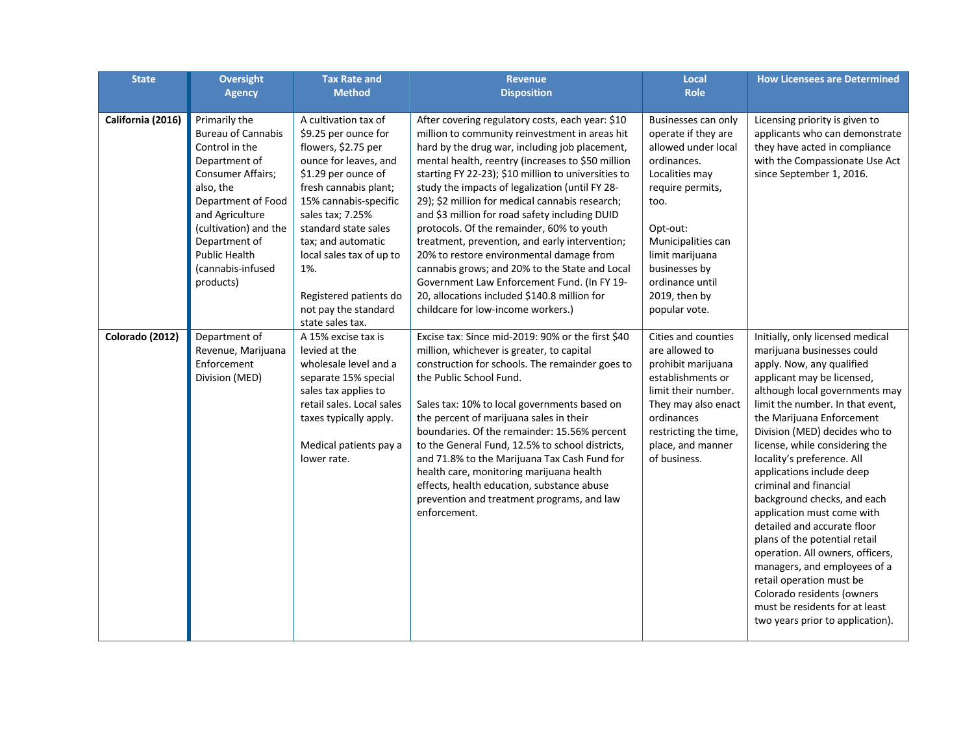| <b>State</b>      | <b>Oversight</b>                                                                                                                                                                                                                                                    | <b>Tax Rate and</b>                                                                                                                                                                                                                                                                                                                              | <b>Revenue</b>                                                                                                                                                                                                                                                                                                                                                                                                                                                                                                                                                                                                                                                                                                                                             | Local                                                                                                                                                                                                                                                     | <b>How Licensees are Determined</b>                                                                                                                                                                                                                                                                                                                                                                                                                                                                                                                                                                                                                                                                                   |
|-------------------|---------------------------------------------------------------------------------------------------------------------------------------------------------------------------------------------------------------------------------------------------------------------|--------------------------------------------------------------------------------------------------------------------------------------------------------------------------------------------------------------------------------------------------------------------------------------------------------------------------------------------------|------------------------------------------------------------------------------------------------------------------------------------------------------------------------------------------------------------------------------------------------------------------------------------------------------------------------------------------------------------------------------------------------------------------------------------------------------------------------------------------------------------------------------------------------------------------------------------------------------------------------------------------------------------------------------------------------------------------------------------------------------------|-----------------------------------------------------------------------------------------------------------------------------------------------------------------------------------------------------------------------------------------------------------|-----------------------------------------------------------------------------------------------------------------------------------------------------------------------------------------------------------------------------------------------------------------------------------------------------------------------------------------------------------------------------------------------------------------------------------------------------------------------------------------------------------------------------------------------------------------------------------------------------------------------------------------------------------------------------------------------------------------------|
|                   | <b>Agency</b>                                                                                                                                                                                                                                                       | <b>Method</b>                                                                                                                                                                                                                                                                                                                                    | <b>Disposition</b>                                                                                                                                                                                                                                                                                                                                                                                                                                                                                                                                                                                                                                                                                                                                         | <b>Role</b>                                                                                                                                                                                                                                               |                                                                                                                                                                                                                                                                                                                                                                                                                                                                                                                                                                                                                                                                                                                       |
|                   |                                                                                                                                                                                                                                                                     |                                                                                                                                                                                                                                                                                                                                                  |                                                                                                                                                                                                                                                                                                                                                                                                                                                                                                                                                                                                                                                                                                                                                            |                                                                                                                                                                                                                                                           |                                                                                                                                                                                                                                                                                                                                                                                                                                                                                                                                                                                                                                                                                                                       |
| California (2016) | Primarily the<br><b>Bureau of Cannabis</b><br>Control in the<br>Department of<br><b>Consumer Affairs;</b><br>also, the<br>Department of Food<br>and Agriculture<br>(cultivation) and the<br>Department of<br><b>Public Health</b><br>(cannabis-infused<br>products) | A cultivation tax of<br>\$9.25 per ounce for<br>flowers, \$2.75 per<br>ounce for leaves, and<br>\$1.29 per ounce of<br>fresh cannabis plant;<br>15% cannabis-specific<br>sales tax; 7.25%<br>standard state sales<br>tax; and automatic<br>local sales tax of up to<br>1%.<br>Registered patients do<br>not pay the standard<br>state sales tax. | After covering regulatory costs, each year: \$10<br>million to community reinvestment in areas hit<br>hard by the drug war, including job placement,<br>mental health, reentry (increases to \$50 million<br>starting FY 22-23); \$10 million to universities to<br>study the impacts of legalization (until FY 28-<br>29); \$2 million for medical cannabis research;<br>and \$3 million for road safety including DUID<br>protocols. Of the remainder, 60% to youth<br>treatment, prevention, and early intervention;<br>20% to restore environmental damage from<br>cannabis grows; and 20% to the State and Local<br>Government Law Enforcement Fund. (In FY 19-<br>20, allocations included \$140.8 million for<br>childcare for low-income workers.) | Businesses can only<br>operate if they are<br>allowed under local<br>ordinances.<br>Localities may<br>require permits,<br>too.<br>Opt-out:<br>Municipalities can<br>limit marijuana<br>businesses by<br>ordinance until<br>2019, then by<br>popular vote. | Licensing priority is given to<br>applicants who can demonstrate<br>they have acted in compliance<br>with the Compassionate Use Act<br>since September 1, 2016.                                                                                                                                                                                                                                                                                                                                                                                                                                                                                                                                                       |
| Colorado (2012)   | Department of<br>Revenue, Marijuana<br>Enforcement<br>Division (MED)                                                                                                                                                                                                | A 15% excise tax is<br>levied at the<br>wholesale level and a<br>separate 15% special<br>sales tax applies to<br>retail sales. Local sales<br>taxes typically apply.<br>Medical patients pay a<br>lower rate.                                                                                                                                    | Excise tax: Since mid-2019: 90% or the first \$40<br>million, whichever is greater, to capital<br>construction for schools. The remainder goes to<br>the Public School Fund.<br>Sales tax: 10% to local governments based on<br>the percent of marijuana sales in their<br>boundaries. Of the remainder: 15.56% percent<br>to the General Fund, 12.5% to school districts,<br>and 71.8% to the Marijuana Tax Cash Fund for<br>health care, monitoring marijuana health<br>effects, health education, substance abuse<br>prevention and treatment programs, and law<br>enforcement.                                                                                                                                                                         | Cities and counties<br>are allowed to<br>prohibit marijuana<br>establishments or<br>limit their number.<br>They may also enact<br>ordinances<br>restricting the time,<br>place, and manner<br>of business.                                                | Initially, only licensed medical<br>marijuana businesses could<br>apply. Now, any qualified<br>applicant may be licensed,<br>although local governments may<br>limit the number. In that event.<br>the Marijuana Enforcement<br>Division (MED) decides who to<br>license, while considering the<br>locality's preference. All<br>applications include deep<br>criminal and financial<br>background checks, and each<br>application must come with<br>detailed and accurate floor<br>plans of the potential retail<br>operation. All owners, officers,<br>managers, and employees of a<br>retail operation must be<br>Colorado residents (owners<br>must be residents for at least<br>two years prior to application). |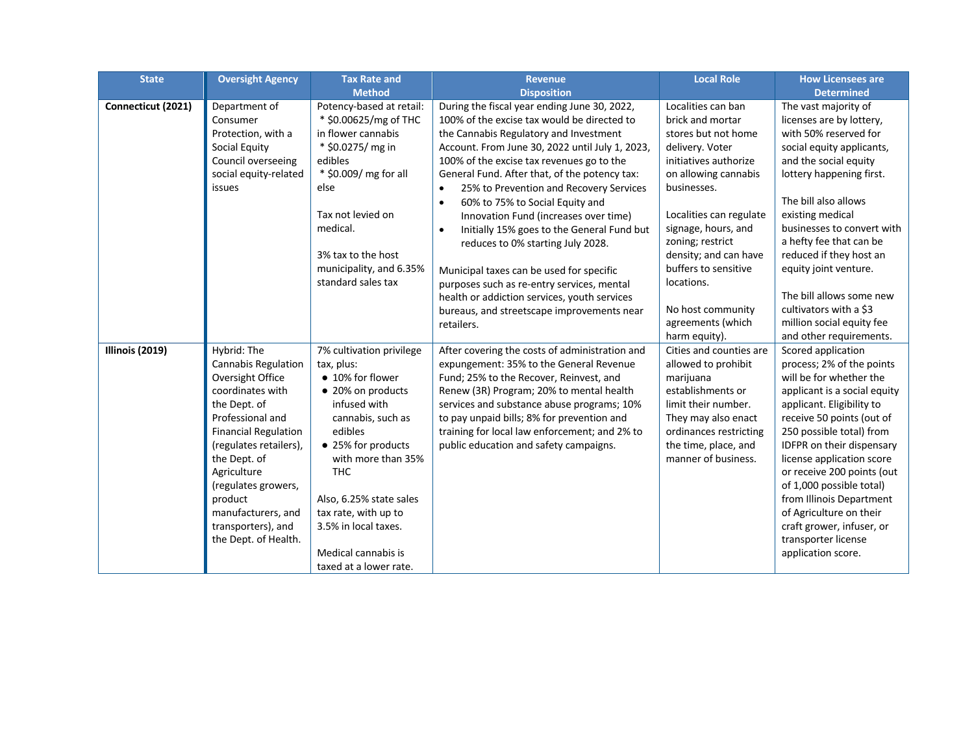| <b>State</b>       | <b>Oversight Agency</b>                                                                                                                                                                                                                                                                                      | <b>Tax Rate and</b>                                                                                                                                                                                                                                                                                                   | <b>Revenue</b>                                                                                                                                                                                                                                                                                                                                                                                                                                                                                                                                                                                                                                                                                                                                | <b>Local Role</b>                                                                                                                                                                                                                                                                                                                                | <b>How Licensees are</b>                                                                                                                                                                                                                                                                                                                                                                                                                              |
|--------------------|--------------------------------------------------------------------------------------------------------------------------------------------------------------------------------------------------------------------------------------------------------------------------------------------------------------|-----------------------------------------------------------------------------------------------------------------------------------------------------------------------------------------------------------------------------------------------------------------------------------------------------------------------|-----------------------------------------------------------------------------------------------------------------------------------------------------------------------------------------------------------------------------------------------------------------------------------------------------------------------------------------------------------------------------------------------------------------------------------------------------------------------------------------------------------------------------------------------------------------------------------------------------------------------------------------------------------------------------------------------------------------------------------------------|--------------------------------------------------------------------------------------------------------------------------------------------------------------------------------------------------------------------------------------------------------------------------------------------------------------------------------------------------|-------------------------------------------------------------------------------------------------------------------------------------------------------------------------------------------------------------------------------------------------------------------------------------------------------------------------------------------------------------------------------------------------------------------------------------------------------|
|                    |                                                                                                                                                                                                                                                                                                              | <b>Method</b>                                                                                                                                                                                                                                                                                                         | <b>Disposition</b>                                                                                                                                                                                                                                                                                                                                                                                                                                                                                                                                                                                                                                                                                                                            |                                                                                                                                                                                                                                                                                                                                                  | <b>Determined</b>                                                                                                                                                                                                                                                                                                                                                                                                                                     |
| Connecticut (2021) | Department of<br>Consumer<br>Protection, with a<br>Social Equity<br>Council overseeing<br>social equity-related<br>issues                                                                                                                                                                                    | Potency-based at retail:<br>* \$0.00625/mg of THC<br>in flower cannabis<br>* \$0.0275/ mg in<br>edibles<br>* \$0.009/ mg for all<br>else<br>Tax not levied on<br>medical.<br>3% tax to the host<br>municipality, and 6.35%<br>standard sales tax                                                                      | During the fiscal year ending June 30, 2022,<br>100% of the excise tax would be directed to<br>the Cannabis Regulatory and Investment<br>Account. From June 30, 2022 until July 1, 2023,<br>100% of the excise tax revenues go to the<br>General Fund. After that, of the potency tax:<br>25% to Prevention and Recovery Services<br>$\bullet$<br>60% to 75% to Social Equity and<br>$\bullet$<br>Innovation Fund (increases over time)<br>Initially 15% goes to the General Fund but<br>$\bullet$<br>reduces to 0% starting July 2028.<br>Municipal taxes can be used for specific<br>purposes such as re-entry services, mental<br>health or addiction services, youth services<br>bureaus, and streetscape improvements near<br>retailers. | Localities can ban<br>brick and mortar<br>stores but not home<br>delivery. Voter<br>initiatives authorize<br>on allowing cannabis<br>businesses.<br>Localities can regulate<br>signage, hours, and<br>zoning; restrict<br>density; and can have<br>buffers to sensitive<br>locations.<br>No host community<br>agreements (which<br>harm equity). | The vast majority of<br>licenses are by lottery,<br>with 50% reserved for<br>social equity applicants,<br>and the social equity<br>lottery happening first.<br>The bill also allows<br>existing medical<br>businesses to convert with<br>a hefty fee that can be<br>reduced if they host an<br>equity joint venture.<br>The bill allows some new<br>cultivators with a \$3<br>million social equity fee<br>and other requirements.                    |
| Illinois (2019)    | Hybrid: The<br>Cannabis Regulation<br>Oversight Office<br>coordinates with<br>the Dept. of<br>Professional and<br><b>Financial Regulation</b><br>(regulates retailers),<br>the Dept. of<br>Agriculture<br>(regulates growers,<br>product<br>manufacturers, and<br>transporters), and<br>the Dept. of Health. | 7% cultivation privilege<br>tax, plus:<br>• 10% for flower<br>• 20% on products<br>infused with<br>cannabis, such as<br>edibles<br>• 25% for products<br>with more than 35%<br><b>THC</b><br>Also, 6.25% state sales<br>tax rate, with up to<br>3.5% in local taxes.<br>Medical cannabis is<br>taxed at a lower rate. | After covering the costs of administration and<br>expungement: 35% to the General Revenue<br>Fund; 25% to the Recover, Reinvest, and<br>Renew (3R) Program; 20% to mental health<br>services and substance abuse programs; 10%<br>to pay unpaid bills; 8% for prevention and<br>training for local law enforcement; and 2% to<br>public education and safety campaigns.                                                                                                                                                                                                                                                                                                                                                                       | Cities and counties are<br>allowed to prohibit<br>marijuana<br>establishments or<br>limit their number.<br>They may also enact<br>ordinances restricting<br>the time, place, and<br>manner of business.                                                                                                                                          | Scored application<br>process; 2% of the points<br>will be for whether the<br>applicant is a social equity<br>applicant. Eligibility to<br>receive 50 points (out of<br>250 possible total) from<br>IDFPR on their dispensary<br>license application score<br>or receive 200 points (out<br>of 1,000 possible total)<br>from Illinois Department<br>of Agriculture on their<br>craft grower, infuser, or<br>transporter license<br>application score. |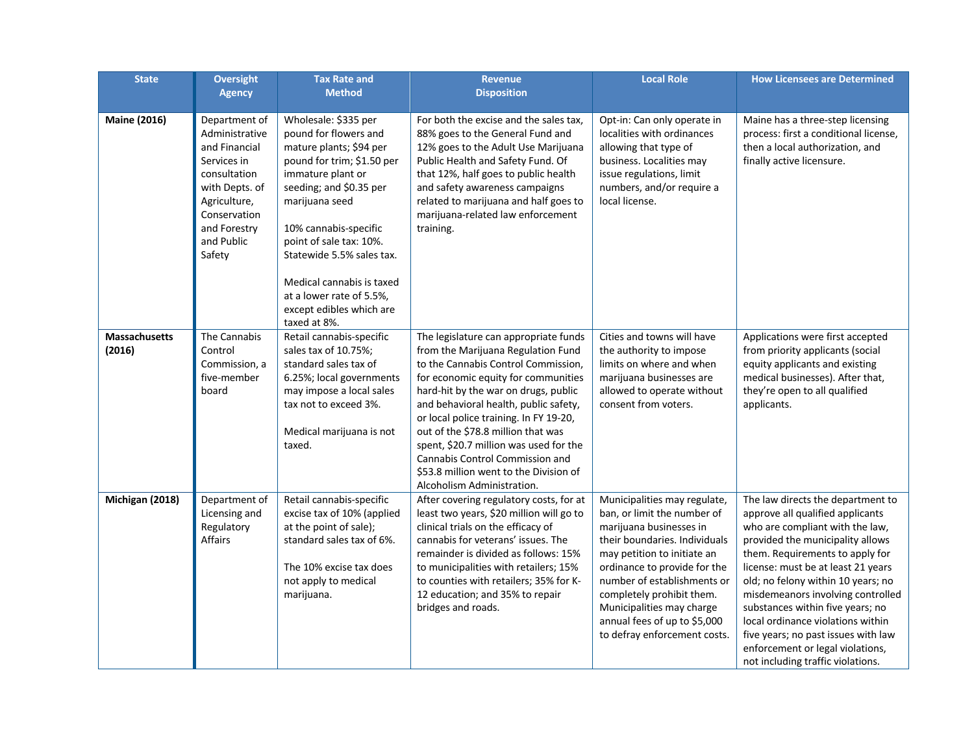| <b>State</b>            | <b>Oversight</b><br><b>Agency</b>                                                                                                                                         | <b>Tax Rate and</b><br><b>Method</b>                                                                                                                                                                                                                                                                                                                           | <b>Revenue</b><br><b>Disposition</b>                                                                                                                                                                                                                                                                                                                                                                                                                                            | <b>Local Role</b>                                                                                                                                                                                                                                                                                                                               | <b>How Licensees are Determined</b>                                                                                                                                                                                                                                                                                                                                                                                                                                                       |
|-------------------------|---------------------------------------------------------------------------------------------------------------------------------------------------------------------------|----------------------------------------------------------------------------------------------------------------------------------------------------------------------------------------------------------------------------------------------------------------------------------------------------------------------------------------------------------------|---------------------------------------------------------------------------------------------------------------------------------------------------------------------------------------------------------------------------------------------------------------------------------------------------------------------------------------------------------------------------------------------------------------------------------------------------------------------------------|-------------------------------------------------------------------------------------------------------------------------------------------------------------------------------------------------------------------------------------------------------------------------------------------------------------------------------------------------|-------------------------------------------------------------------------------------------------------------------------------------------------------------------------------------------------------------------------------------------------------------------------------------------------------------------------------------------------------------------------------------------------------------------------------------------------------------------------------------------|
| <b>Maine (2016)</b>     | Department of<br>Administrative<br>and Financial<br>Services in<br>consultation<br>with Depts. of<br>Agriculture,<br>Conservation<br>and Forestry<br>and Public<br>Safety | Wholesale: \$335 per<br>pound for flowers and<br>mature plants; \$94 per<br>pound for trim; \$1.50 per<br>immature plant or<br>seeding; and \$0.35 per<br>marijuana seed<br>10% cannabis-specific<br>point of sale tax: 10%.<br>Statewide 5.5% sales tax.<br>Medical cannabis is taxed<br>at a lower rate of 5.5%,<br>except edibles which are<br>taxed at 8%. | For both the excise and the sales tax,<br>88% goes to the General Fund and<br>12% goes to the Adult Use Marijuana<br>Public Health and Safety Fund. Of<br>that 12%, half goes to public health<br>and safety awareness campaigns<br>related to marijuana and half goes to<br>marijuana-related law enforcement<br>training.                                                                                                                                                     | Opt-in: Can only operate in<br>localities with ordinances<br>allowing that type of<br>business. Localities may<br>issue regulations, limit<br>numbers, and/or require a<br>local license.                                                                                                                                                       | Maine has a three-step licensing<br>process: first a conditional license,<br>then a local authorization, and<br>finally active licensure.                                                                                                                                                                                                                                                                                                                                                 |
| Massachusetts<br>(2016) | The Cannabis<br>Control<br>Commission, a<br>five-member<br>board                                                                                                          | Retail cannabis-specific<br>sales tax of 10.75%;<br>standard sales tax of<br>6.25%; local governments<br>may impose a local sales<br>tax not to exceed 3%.<br>Medical marijuana is not<br>taxed.                                                                                                                                                               | The legislature can appropriate funds<br>from the Marijuana Regulation Fund<br>to the Cannabis Control Commission,<br>for economic equity for communities<br>hard-hit by the war on drugs, public<br>and behavioral health, public safety,<br>or local police training. In FY 19-20,<br>out of the \$78.8 million that was<br>spent, \$20.7 million was used for the<br>Cannabis Control Commission and<br>\$53.8 million went to the Division of<br>Alcoholism Administration. | Cities and towns will have<br>the authority to impose<br>limits on where and when<br>marijuana businesses are<br>allowed to operate without<br>consent from voters.                                                                                                                                                                             | Applications were first accepted<br>from priority applicants (social<br>equity applicants and existing<br>medical businesses). After that,<br>they're open to all qualified<br>applicants.                                                                                                                                                                                                                                                                                                |
| Michigan (2018)         | Department of<br>Licensing and<br>Regulatory<br><b>Affairs</b>                                                                                                            | Retail cannabis-specific<br>excise tax of 10% (applied<br>at the point of sale);<br>standard sales tax of 6%.<br>The 10% excise tax does<br>not apply to medical<br>marijuana.                                                                                                                                                                                 | After covering regulatory costs, for at<br>least two years, \$20 million will go to<br>clinical trials on the efficacy of<br>cannabis for veterans' issues. The<br>remainder is divided as follows: 15%<br>to municipalities with retailers; 15%<br>to counties with retailers; 35% for K-<br>12 education; and 35% to repair<br>bridges and roads.                                                                                                                             | Municipalities may regulate,<br>ban, or limit the number of<br>marijuana businesses in<br>their boundaries. Individuals<br>may petition to initiate an<br>ordinance to provide for the<br>number of establishments or<br>completely prohibit them.<br>Municipalities may charge<br>annual fees of up to \$5,000<br>to defray enforcement costs. | The law directs the department to<br>approve all qualified applicants<br>who are compliant with the law,<br>provided the municipality allows<br>them. Requirements to apply for<br>license: must be at least 21 years<br>old; no felony within 10 years; no<br>misdemeanors involving controlled<br>substances within five years; no<br>local ordinance violations within<br>five years; no past issues with law<br>enforcement or legal violations,<br>not including traffic violations. |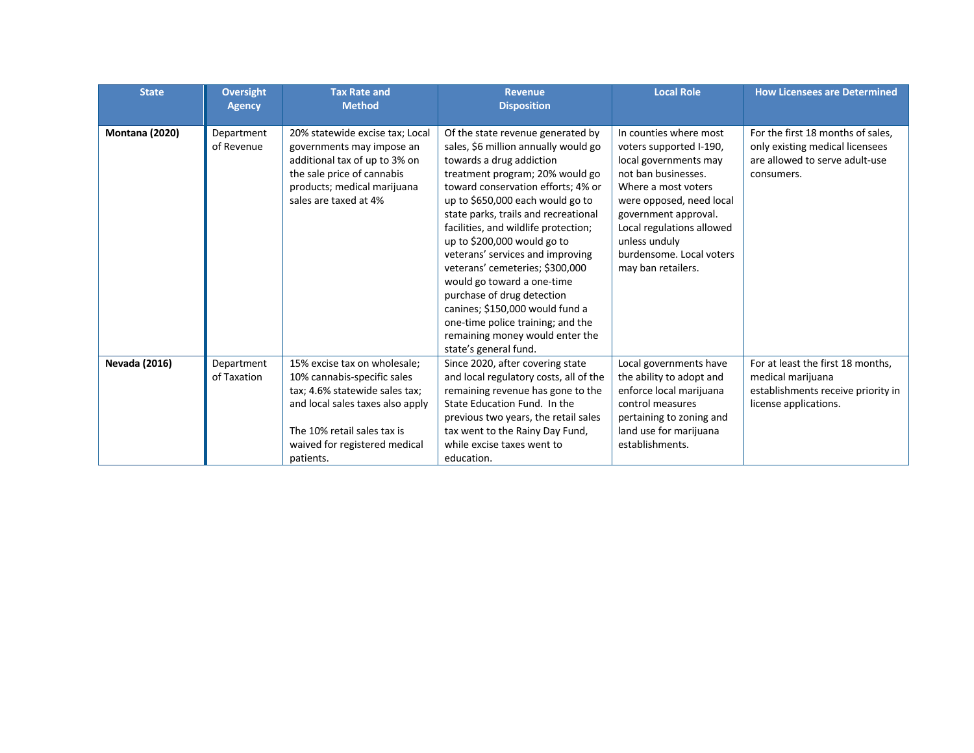| <b>State</b>          | <b>Oversight</b><br><b>Agency</b> | <b>Tax Rate and</b><br><b>Method</b>                                                                                                                                                                           | <b>Revenue</b><br><b>Disposition</b>                                                                                                                                                                                                                                                                                                                                                                                                                                                                                                                                                                     | <b>Local Role</b>                                                                                                                                                                                                                                                            | <b>How Licensees are Determined</b>                                                                                   |
|-----------------------|-----------------------------------|----------------------------------------------------------------------------------------------------------------------------------------------------------------------------------------------------------------|----------------------------------------------------------------------------------------------------------------------------------------------------------------------------------------------------------------------------------------------------------------------------------------------------------------------------------------------------------------------------------------------------------------------------------------------------------------------------------------------------------------------------------------------------------------------------------------------------------|------------------------------------------------------------------------------------------------------------------------------------------------------------------------------------------------------------------------------------------------------------------------------|-----------------------------------------------------------------------------------------------------------------------|
| <b>Montana (2020)</b> | Department<br>of Revenue          | 20% statewide excise tax; Local<br>governments may impose an<br>additional tax of up to 3% on<br>the sale price of cannabis<br>products; medical marijuana<br>sales are taxed at 4%                            | Of the state revenue generated by<br>sales, \$6 million annually would go<br>towards a drug addiction<br>treatment program; 20% would go<br>toward conservation efforts; 4% or<br>up to \$650,000 each would go to<br>state parks, trails and recreational<br>facilities, and wildlife protection;<br>up to \$200,000 would go to<br>veterans' services and improving<br>veterans' cemeteries; \$300,000<br>would go toward a one-time<br>purchase of drug detection<br>canines; \$150,000 would fund a<br>one-time police training; and the<br>remaining money would enter the<br>state's general fund. | In counties where most<br>voters supported I-190,<br>local governments may<br>not ban businesses.<br>Where a most voters<br>were opposed, need local<br>government approval.<br>Local regulations allowed<br>unless unduly<br>burdensome. Local voters<br>may ban retailers. | For the first 18 months of sales,<br>only existing medical licensees<br>are allowed to serve adult-use<br>consumers.  |
| <b>Nevada (2016)</b>  | Department<br>of Taxation         | 15% excise tax on wholesale;<br>10% cannabis-specific sales<br>tax; 4.6% statewide sales tax;<br>and local sales taxes also apply<br>The 10% retail sales tax is<br>waived for registered medical<br>patients. | Since 2020, after covering state<br>and local regulatory costs, all of the<br>remaining revenue has gone to the<br>State Education Fund. In the<br>previous two years, the retail sales<br>tax went to the Rainy Day Fund,<br>while excise taxes went to<br>education.                                                                                                                                                                                                                                                                                                                                   | Local governments have<br>the ability to adopt and<br>enforce local marijuana<br>control measures<br>pertaining to zoning and<br>land use for marijuana<br>establishments.                                                                                                   | For at least the first 18 months,<br>medical marijuana<br>establishments receive priority in<br>license applications. |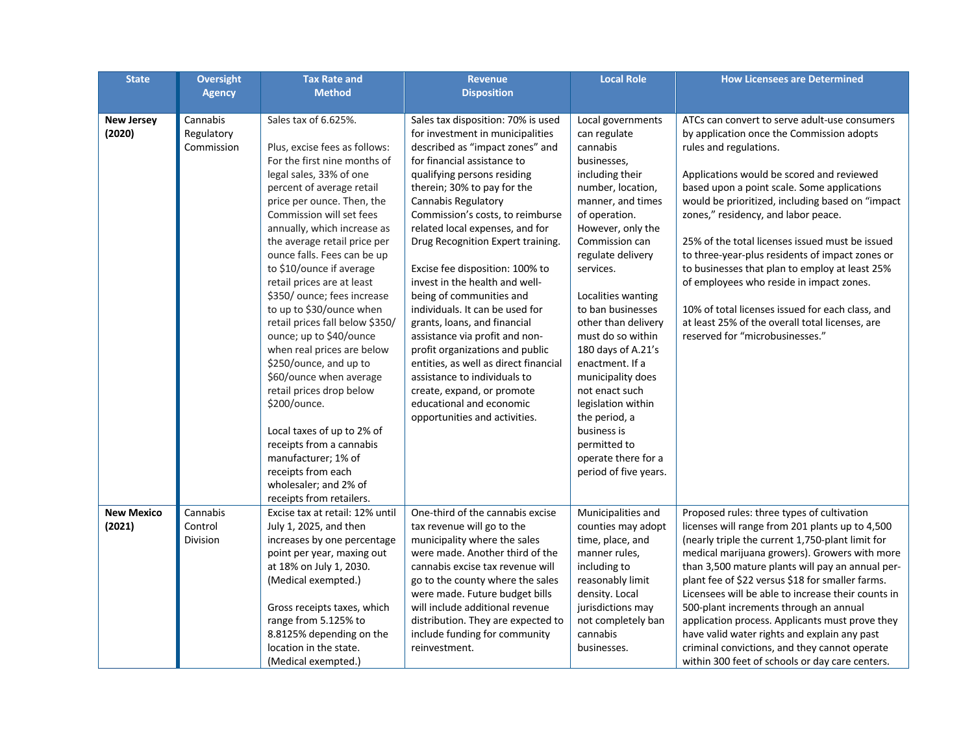| <b>State</b>                | <b>Oversight</b>                     | <b>Tax Rate and</b>                                                                                                                                                                                                                                                                                                                                                                                                                                                                                                                                                                                                                                                                                                                                                                 | <b>Revenue</b>                                                                                                                                                                                                                                                                                                                                                                                                                                                                                                                                                                                                                                                                                                                                         | <b>Local Role</b>                                                                                                                                                                                                                                                                                                                                                                                                                                                                                                | <b>How Licensees are Determined</b>                                                                                                                                                                                                                                                                                                                                                                                                                                                                                                                                                                                                                       |
|-----------------------------|--------------------------------------|-------------------------------------------------------------------------------------------------------------------------------------------------------------------------------------------------------------------------------------------------------------------------------------------------------------------------------------------------------------------------------------------------------------------------------------------------------------------------------------------------------------------------------------------------------------------------------------------------------------------------------------------------------------------------------------------------------------------------------------------------------------------------------------|--------------------------------------------------------------------------------------------------------------------------------------------------------------------------------------------------------------------------------------------------------------------------------------------------------------------------------------------------------------------------------------------------------------------------------------------------------------------------------------------------------------------------------------------------------------------------------------------------------------------------------------------------------------------------------------------------------------------------------------------------------|------------------------------------------------------------------------------------------------------------------------------------------------------------------------------------------------------------------------------------------------------------------------------------------------------------------------------------------------------------------------------------------------------------------------------------------------------------------------------------------------------------------|-----------------------------------------------------------------------------------------------------------------------------------------------------------------------------------------------------------------------------------------------------------------------------------------------------------------------------------------------------------------------------------------------------------------------------------------------------------------------------------------------------------------------------------------------------------------------------------------------------------------------------------------------------------|
|                             | <b>Agency</b>                        | <b>Method</b>                                                                                                                                                                                                                                                                                                                                                                                                                                                                                                                                                                                                                                                                                                                                                                       | <b>Disposition</b>                                                                                                                                                                                                                                                                                                                                                                                                                                                                                                                                                                                                                                                                                                                                     |                                                                                                                                                                                                                                                                                                                                                                                                                                                                                                                  |                                                                                                                                                                                                                                                                                                                                                                                                                                                                                                                                                                                                                                                           |
| <b>New Jersey</b><br>(2020) | Cannabis<br>Regulatory<br>Commission | Sales tax of 6.625%.<br>Plus, excise fees as follows:<br>For the first nine months of<br>legal sales, 33% of one<br>percent of average retail<br>price per ounce. Then, the<br>Commission will set fees<br>annually, which increase as<br>the average retail price per<br>ounce falls. Fees can be up<br>to \$10/ounce if average<br>retail prices are at least<br>\$350/ ounce; fees increase<br>to up to \$30/ounce when<br>retail prices fall below \$350/<br>ounce; up to \$40/ounce<br>when real prices are below<br>\$250/ounce, and up to<br>\$60/ounce when average<br>retail prices drop below<br>\$200/ounce.<br>Local taxes of up to 2% of<br>receipts from a cannabis<br>manufacturer; 1% of<br>receipts from each<br>wholesaler; and 2% of<br>receipts from retailers. | Sales tax disposition: 70% is used<br>for investment in municipalities<br>described as "impact zones" and<br>for financial assistance to<br>qualifying persons residing<br>therein; 30% to pay for the<br>Cannabis Regulatory<br>Commission's costs, to reimburse<br>related local expenses, and for<br>Drug Recognition Expert training.<br>Excise fee disposition: 100% to<br>invest in the health and well-<br>being of communities and<br>individuals. It can be used for<br>grants, loans, and financial<br>assistance via profit and non-<br>profit organizations and public<br>entities, as well as direct financial<br>assistance to individuals to<br>create, expand, or promote<br>educational and economic<br>opportunities and activities. | Local governments<br>can regulate<br>cannabis<br>businesses,<br>including their<br>number, location,<br>manner, and times<br>of operation.<br>However, only the<br>Commission can<br>regulate delivery<br>services.<br>Localities wanting<br>to ban businesses<br>other than delivery<br>must do so within<br>180 days of A.21's<br>enactment. If a<br>municipality does<br>not enact such<br>legislation within<br>the period, a<br>business is<br>permitted to<br>operate there for a<br>period of five years. | ATCs can convert to serve adult-use consumers<br>by application once the Commission adopts<br>rules and regulations.<br>Applications would be scored and reviewed<br>based upon a point scale. Some applications<br>would be prioritized, including based on "impact<br>zones," residency, and labor peace.<br>25% of the total licenses issued must be issued<br>to three-year-plus residents of impact zones or<br>to businesses that plan to employ at least 25%<br>of employees who reside in impact zones.<br>10% of total licenses issued for each class, and<br>at least 25% of the overall total licenses, are<br>reserved for "microbusinesses." |
| <b>New Mexico</b><br>(2021) | Cannabis<br>Control<br>Division      | Excise tax at retail: 12% until<br>July 1, 2025, and then<br>increases by one percentage<br>point per year, maxing out<br>at 18% on July 1, 2030.<br>(Medical exempted.)<br>Gross receipts taxes, which<br>range from 5.125% to<br>8.8125% depending on the<br>location in the state.<br>(Medical exempted.)                                                                                                                                                                                                                                                                                                                                                                                                                                                                        | One-third of the cannabis excise<br>tax revenue will go to the<br>municipality where the sales<br>were made. Another third of the<br>cannabis excise tax revenue will<br>go to the county where the sales<br>were made. Future budget bills<br>will include additional revenue<br>distribution. They are expected to<br>include funding for community<br>reinvestment.                                                                                                                                                                                                                                                                                                                                                                                 | Municipalities and<br>counties may adopt<br>time, place, and<br>manner rules,<br>including to<br>reasonably limit<br>density. Local<br>jurisdictions may<br>not completely ban<br>cannabis<br>businesses.                                                                                                                                                                                                                                                                                                        | Proposed rules: three types of cultivation<br>licenses will range from 201 plants up to 4,500<br>(nearly triple the current 1,750-plant limit for<br>medical marijuana growers). Growers with more<br>than 3,500 mature plants will pay an annual per-<br>plant fee of \$22 versus \$18 for smaller farms.<br>Licensees will be able to increase their counts in<br>500-plant increments through an annual<br>application process. Applicants must prove they<br>have valid water rights and explain any past<br>criminal convictions, and they cannot operate<br>within 300 feet of schools or day care centers.                                         |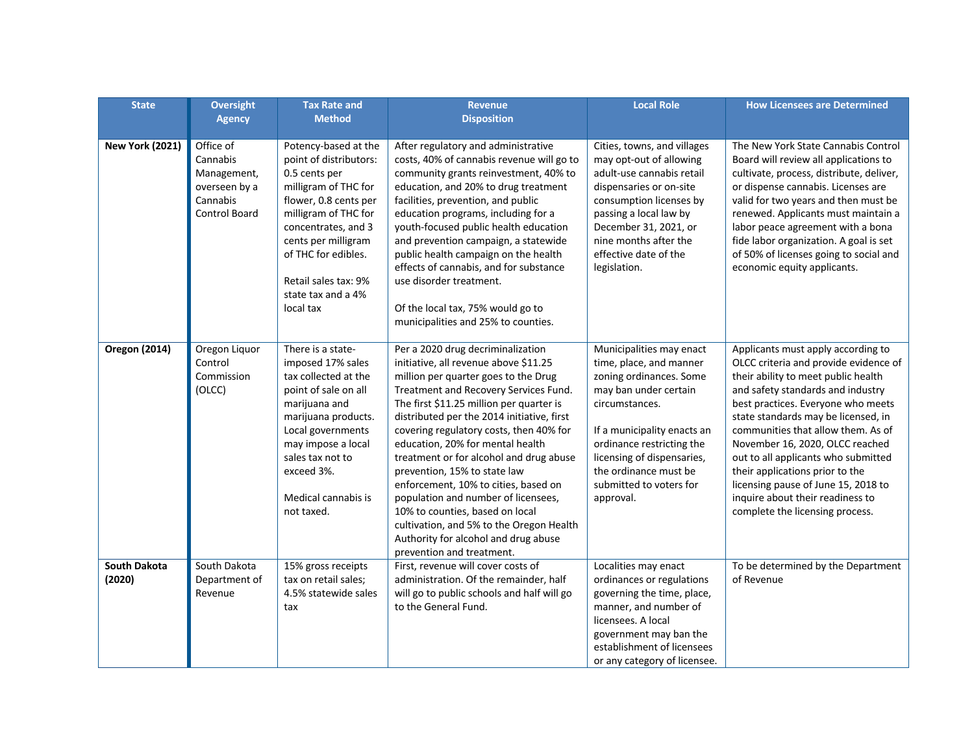| <b>State</b>                  | <b>Oversight</b>                                                                   | <b>Tax Rate and</b>                                                                                                                                                                                                                                                      | <b>Revenue</b>                                                                                                                                                                                                                                                                                                                                                                                                                                                                                                                                                                                                                                     | <b>Local Role</b>                                                                                                                                                                                                                                                                    | <b>How Licensees are Determined</b>                                                                                                                                                                                                                                                                                                                                                                                                                                                                   |
|-------------------------------|------------------------------------------------------------------------------------|--------------------------------------------------------------------------------------------------------------------------------------------------------------------------------------------------------------------------------------------------------------------------|----------------------------------------------------------------------------------------------------------------------------------------------------------------------------------------------------------------------------------------------------------------------------------------------------------------------------------------------------------------------------------------------------------------------------------------------------------------------------------------------------------------------------------------------------------------------------------------------------------------------------------------------------|--------------------------------------------------------------------------------------------------------------------------------------------------------------------------------------------------------------------------------------------------------------------------------------|-------------------------------------------------------------------------------------------------------------------------------------------------------------------------------------------------------------------------------------------------------------------------------------------------------------------------------------------------------------------------------------------------------------------------------------------------------------------------------------------------------|
|                               | <b>Agency</b>                                                                      | <b>Method</b>                                                                                                                                                                                                                                                            | <b>Disposition</b>                                                                                                                                                                                                                                                                                                                                                                                                                                                                                                                                                                                                                                 |                                                                                                                                                                                                                                                                                      |                                                                                                                                                                                                                                                                                                                                                                                                                                                                                                       |
| <b>New York (2021)</b>        | Office of<br>Cannabis<br>Management,<br>overseen by a<br>Cannabis<br>Control Board | Potency-based at the<br>point of distributors:<br>0.5 cents per<br>milligram of THC for<br>flower, 0.8 cents per<br>milligram of THC for<br>concentrates, and 3<br>cents per milligram<br>of THC for edibles.<br>Retail sales tax: 9%<br>state tax and a 4%<br>local tax | After regulatory and administrative<br>costs, 40% of cannabis revenue will go to<br>community grants reinvestment, 40% to<br>education, and 20% to drug treatment<br>facilities, prevention, and public<br>education programs, including for a<br>youth-focused public health education<br>and prevention campaign, a statewide<br>public health campaign on the health<br>effects of cannabis, and for substance<br>use disorder treatment.<br>Of the local tax, 75% would go to<br>municipalities and 25% to counties.                                                                                                                           | Cities, towns, and villages<br>may opt-out of allowing<br>adult-use cannabis retail<br>dispensaries or on-site<br>consumption licenses by<br>passing a local law by<br>December 31, 2021, or<br>nine months after the<br>effective date of the<br>legislation.                       | The New York State Cannabis Control<br>Board will review all applications to<br>cultivate, process, distribute, deliver,<br>or dispense cannabis. Licenses are<br>valid for two years and then must be<br>renewed. Applicants must maintain a<br>labor peace agreement with a bona<br>fide labor organization. A goal is set<br>of 50% of licenses going to social and<br>economic equity applicants.                                                                                                 |
| <b>Oregon (2014)</b>          | Oregon Liquor<br>Control<br>Commission<br>(OLCC)                                   | There is a state-<br>imposed 17% sales<br>tax collected at the<br>point of sale on all<br>marijuana and<br>marijuana products.<br>Local governments<br>may impose a local<br>sales tax not to<br>exceed 3%.<br>Medical cannabis is<br>not taxed.                         | Per a 2020 drug decriminalization<br>initiative, all revenue above \$11.25<br>million per quarter goes to the Drug<br>Treatment and Recovery Services Fund.<br>The first \$11.25 million per quarter is<br>distributed per the 2014 initiative, first<br>covering regulatory costs, then 40% for<br>education, 20% for mental health<br>treatment or for alcohol and drug abuse<br>prevention, 15% to state law<br>enforcement, 10% to cities, based on<br>population and number of licensees,<br>10% to counties, based on local<br>cultivation, and 5% to the Oregon Health<br>Authority for alcohol and drug abuse<br>prevention and treatment. | Municipalities may enact<br>time, place, and manner<br>zoning ordinances. Some<br>may ban under certain<br>circumstances.<br>If a municipality enacts an<br>ordinance restricting the<br>licensing of dispensaries,<br>the ordinance must be<br>submitted to voters for<br>approval. | Applicants must apply according to<br>OLCC criteria and provide evidence of<br>their ability to meet public health<br>and safety standards and industry<br>best practices. Everyone who meets<br>state standards may be licensed, in<br>communities that allow them. As of<br>November 16, 2020, OLCC reached<br>out to all applicants who submitted<br>their applications prior to the<br>licensing pause of June 15, 2018 to<br>inquire about their readiness to<br>complete the licensing process. |
| <b>South Dakota</b><br>(2020) | South Dakota<br>Department of<br>Revenue                                           | 15% gross receipts<br>tax on retail sales;<br>4.5% statewide sales<br>tax                                                                                                                                                                                                | First, revenue will cover costs of<br>administration. Of the remainder, half<br>will go to public schools and half will go<br>to the General Fund.                                                                                                                                                                                                                                                                                                                                                                                                                                                                                                 | Localities may enact<br>ordinances or regulations<br>governing the time, place,<br>manner, and number of<br>licensees. A local<br>government may ban the<br>establishment of licensees<br>or any category of licensee.                                                               | To be determined by the Department<br>of Revenue                                                                                                                                                                                                                                                                                                                                                                                                                                                      |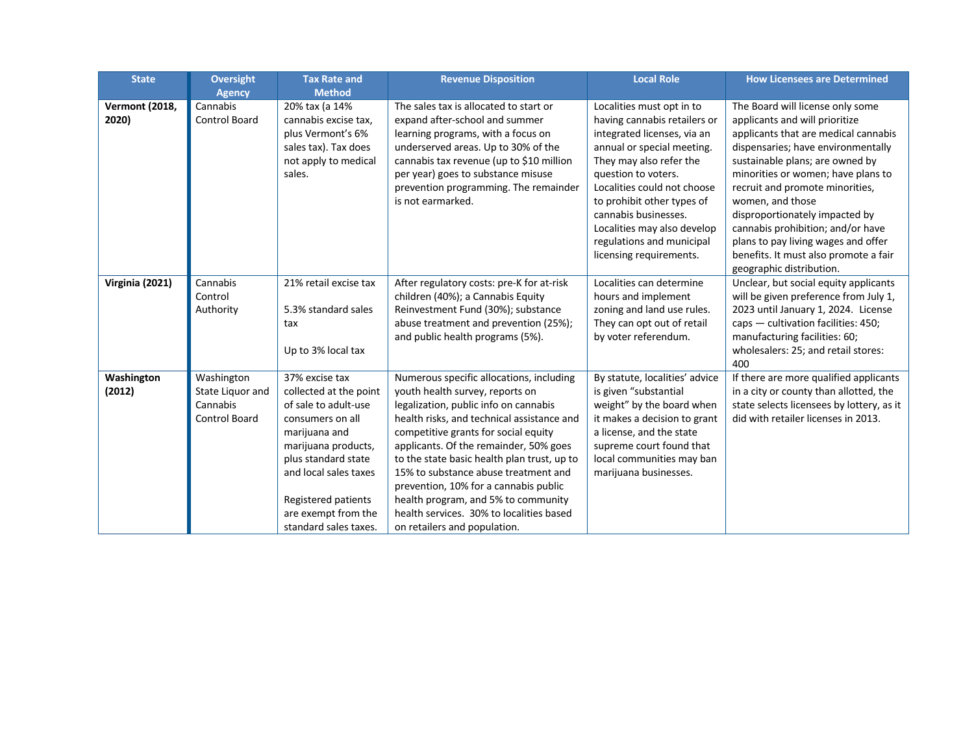| <b>State</b>                   | <b>Oversight</b>                                                   | <b>Tax Rate and</b>                                                                                                                                                                                                                                 | <b>Revenue Disposition</b>                                                                                                                                                                                                                                                                                                                                                                                                                                                                              | <b>Local Role</b>                                                                                                                                                                                                                  | <b>How Licensees are Determined</b>                                                                                                                                                                                                                          |
|--------------------------------|--------------------------------------------------------------------|-----------------------------------------------------------------------------------------------------------------------------------------------------------------------------------------------------------------------------------------------------|---------------------------------------------------------------------------------------------------------------------------------------------------------------------------------------------------------------------------------------------------------------------------------------------------------------------------------------------------------------------------------------------------------------------------------------------------------------------------------------------------------|------------------------------------------------------------------------------------------------------------------------------------------------------------------------------------------------------------------------------------|--------------------------------------------------------------------------------------------------------------------------------------------------------------------------------------------------------------------------------------------------------------|
|                                | <b>Agency</b>                                                      | <b>Method</b>                                                                                                                                                                                                                                       |                                                                                                                                                                                                                                                                                                                                                                                                                                                                                                         |                                                                                                                                                                                                                                    |                                                                                                                                                                                                                                                              |
| <b>Vermont (2018,</b><br>2020) | Cannabis<br><b>Control Board</b>                                   | 20% tax (a 14%<br>cannabis excise tax,<br>plus Vermont's 6%<br>sales tax). Tax does<br>not apply to medical<br>sales.                                                                                                                               | The sales tax is allocated to start or<br>expand after-school and summer<br>learning programs, with a focus on<br>underserved areas. Up to 30% of the<br>cannabis tax revenue (up to \$10 million<br>per year) goes to substance misuse<br>prevention programming. The remainder                                                                                                                                                                                                                        | Localities must opt in to<br>having cannabis retailers or<br>integrated licenses, via an<br>annual or special meeting.<br>They may also refer the<br>question to voters.<br>Localities could not choose                            | The Board will license only some<br>applicants and will prioritize<br>applicants that are medical cannabis<br>dispensaries; have environmentally<br>sustainable plans; are owned by<br>minorities or women; have plans to<br>recruit and promote minorities, |
|                                |                                                                    |                                                                                                                                                                                                                                                     | is not earmarked.                                                                                                                                                                                                                                                                                                                                                                                                                                                                                       | to prohibit other types of<br>cannabis businesses.<br>Localities may also develop<br>regulations and municipal<br>licensing requirements.                                                                                          | women, and those<br>disproportionately impacted by<br>cannabis prohibition; and/or have<br>plans to pay living wages and offer<br>benefits. It must also promote a fair<br>geographic distribution.                                                          |
| Virginia (2021)                | Cannabis<br>Control<br>Authority                                   | 21% retail excise tax<br>5.3% standard sales<br>tax<br>Up to 3% local tax                                                                                                                                                                           | After regulatory costs: pre-K for at-risk<br>children (40%); a Cannabis Equity<br>Reinvestment Fund (30%); substance<br>abuse treatment and prevention (25%);<br>and public health programs (5%).                                                                                                                                                                                                                                                                                                       | Localities can determine<br>hours and implement<br>zoning and land use rules.<br>They can opt out of retail<br>by voter referendum.                                                                                                | Unclear, but social equity applicants<br>will be given preference from July 1,<br>2023 until January 1, 2024. License<br>caps $-$ cultivation facilities: 450;<br>manufacturing facilities: 60;<br>wholesalers: 25; and retail stores:<br>400                |
| Washington<br>(2012)           | Washington<br>State Liquor and<br>Cannabis<br><b>Control Board</b> | 37% excise tax<br>collected at the point<br>of sale to adult-use<br>consumers on all<br>marijuana and<br>marijuana products,<br>plus standard state<br>and local sales taxes<br>Registered patients<br>are exempt from the<br>standard sales taxes. | Numerous specific allocations, including<br>youth health survey, reports on<br>legalization, public info on cannabis<br>health risks, and technical assistance and<br>competitive grants for social equity<br>applicants. Of the remainder, 50% goes<br>to the state basic health plan trust, up to<br>15% to substance abuse treatment and<br>prevention, 10% for a cannabis public<br>health program, and 5% to community<br>health services. 30% to localities based<br>on retailers and population. | By statute, localities' advice<br>is given "substantial<br>weight" by the board when<br>it makes a decision to grant<br>a license, and the state<br>supreme court found that<br>local communities may ban<br>marijuana businesses. | If there are more qualified applicants<br>in a city or county than allotted, the<br>state selects licensees by lottery, as it<br>did with retailer licenses in 2013.                                                                                         |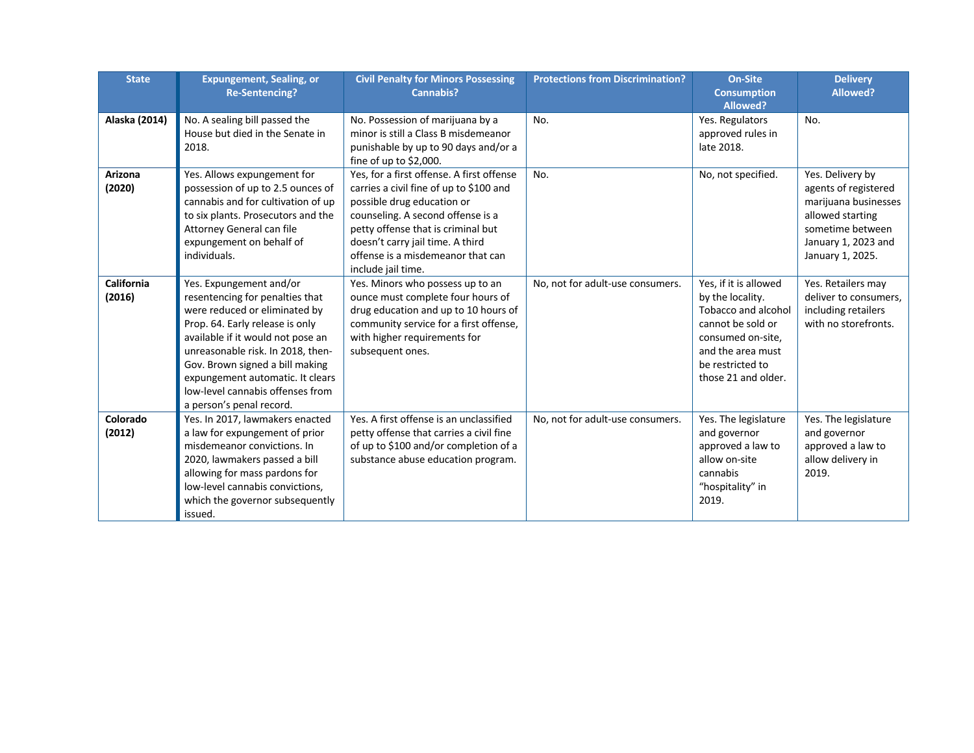| <b>State</b>             | <b>Expungement, Sealing, or</b><br><b>Re-Sentencing?</b>                                                                                                                                                                                                                                                                                        | <b>Civil Penalty for Minors Possessing</b><br><b>Cannabis?</b>                                                                                                                                                                                                                               | <b>Protections from Discrimination?</b> | <b>On-Site</b><br><b>Consumption</b>                                                                                                                                       | <b>Delivery</b><br>Allowed?                                                                                                                         |
|--------------------------|-------------------------------------------------------------------------------------------------------------------------------------------------------------------------------------------------------------------------------------------------------------------------------------------------------------------------------------------------|----------------------------------------------------------------------------------------------------------------------------------------------------------------------------------------------------------------------------------------------------------------------------------------------|-----------------------------------------|----------------------------------------------------------------------------------------------------------------------------------------------------------------------------|-----------------------------------------------------------------------------------------------------------------------------------------------------|
| Alaska (2014)            | No. A sealing bill passed the<br>House but died in the Senate in<br>2018.                                                                                                                                                                                                                                                                       | No. Possession of marijuana by a<br>minor is still a Class B misdemeanor<br>punishable by up to 90 days and/or a<br>fine of up to \$2,000.                                                                                                                                                   | No.                                     | <b>Allowed?</b><br>Yes. Regulators<br>approved rules in<br>late 2018.                                                                                                      | No.                                                                                                                                                 |
| <b>Arizona</b><br>(2020) | Yes. Allows expungement for<br>possession of up to 2.5 ounces of<br>cannabis and for cultivation of up<br>to six plants. Prosecutors and the<br>Attorney General can file<br>expungement on behalf of<br>individuals.                                                                                                                           | Yes, for a first offense. A first offense<br>carries a civil fine of up to \$100 and<br>possible drug education or<br>counseling. A second offense is a<br>petty offense that is criminal but<br>doesn't carry jail time. A third<br>offense is a misdemeanor that can<br>include jail time. | No.                                     | No, not specified.                                                                                                                                                         | Yes. Delivery by<br>agents of registered<br>marijuana businesses<br>allowed starting<br>sometime between<br>January 1, 2023 and<br>January 1, 2025. |
| California<br>(2016)     | Yes. Expungement and/or<br>resentencing for penalties that<br>were reduced or eliminated by<br>Prop. 64. Early release is only<br>available if it would not pose an<br>unreasonable risk. In 2018, then-<br>Gov. Brown signed a bill making<br>expungement automatic. It clears<br>low-level cannabis offenses from<br>a person's penal record. | Yes. Minors who possess up to an<br>ounce must complete four hours of<br>drug education and up to 10 hours of<br>community service for a first offense,<br>with higher requirements for<br>subsequent ones.                                                                                  | No, not for adult-use consumers.        | Yes, if it is allowed<br>by the locality.<br>Tobacco and alcohol<br>cannot be sold or<br>consumed on-site,<br>and the area must<br>be restricted to<br>those 21 and older. | Yes. Retailers may<br>deliver to consumers,<br>including retailers<br>with no storefronts.                                                          |
| Colorado<br>(2012)       | Yes. In 2017, lawmakers enacted<br>a law for expungement of prior<br>misdemeanor convictions. In<br>2020, lawmakers passed a bill<br>allowing for mass pardons for<br>low-level cannabis convictions,<br>which the governor subsequently<br>issued.                                                                                             | Yes. A first offense is an unclassified<br>petty offense that carries a civil fine<br>of up to \$100 and/or completion of a<br>substance abuse education program.                                                                                                                            | No, not for adult-use consumers.        | Yes. The legislature<br>and governor<br>approved a law to<br>allow on-site<br>cannabis<br>"hospitality" in<br>2019.                                                        | Yes. The legislature<br>and governor<br>approved a law to<br>allow delivery in<br>2019.                                                             |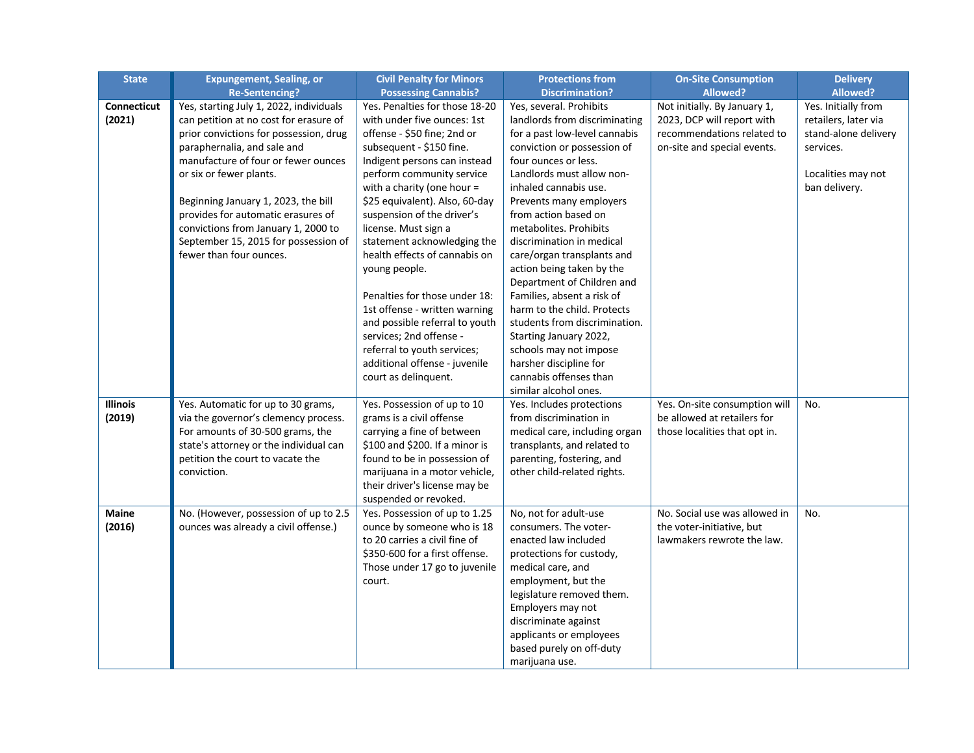| <b>State</b>       | <b>Expungement, Sealing, or</b>         | <b>Civil Penalty for Minors</b> | <b>Protections from</b>                            | <b>On-Site Consumption</b>    | <b>Delivery</b>      |
|--------------------|-----------------------------------------|---------------------------------|----------------------------------------------------|-------------------------------|----------------------|
|                    | <b>Re-Sentencing?</b>                   | <b>Possessing Cannabis?</b>     | <b>Discrimination?</b>                             | <b>Allowed?</b>               | <b>Allowed?</b>      |
| <b>Connecticut</b> | Yes, starting July 1, 2022, individuals | Yes. Penalties for those 18-20  | Yes, several. Prohibits                            | Not initially. By January 1,  | Yes. Initially from  |
| (2021)             | can petition at no cost for erasure of  | with under five ounces: 1st     | landlords from discriminating                      | 2023, DCP will report with    | retailers, later via |
|                    | prior convictions for possession, drug  | offense - \$50 fine; 2nd or     | for a past low-level cannabis                      | recommendations related to    | stand-alone delivery |
|                    | paraphernalia, and sale and             | subsequent - \$150 fine.        | conviction or possession of                        | on-site and special events.   | services.            |
|                    | manufacture of four or fewer ounces     | Indigent persons can instead    | four ounces or less.                               |                               |                      |
|                    | or six or fewer plants.                 | perform community service       | Landlords must allow non-                          |                               | Localities may not   |
|                    |                                         | with a charity (one hour $=$    | inhaled cannabis use.                              |                               | ban delivery.        |
|                    | Beginning January 1, 2023, the bill     | \$25 equivalent). Also, 60-day  | Prevents many employers                            |                               |                      |
|                    | provides for automatic erasures of      | suspension of the driver's      | from action based on                               |                               |                      |
|                    | convictions from January 1, 2000 to     | license. Must sign a            | metabolites. Prohibits                             |                               |                      |
|                    | September 15, 2015 for possession of    | statement acknowledging the     | discrimination in medical                          |                               |                      |
|                    | fewer than four ounces.                 | health effects of cannabis on   | care/organ transplants and                         |                               |                      |
|                    |                                         | young people.                   | action being taken by the                          |                               |                      |
|                    |                                         |                                 | Department of Children and                         |                               |                      |
|                    |                                         | Penalties for those under 18:   | Families, absent a risk of                         |                               |                      |
|                    |                                         | 1st offense - written warning   | harm to the child. Protects                        |                               |                      |
|                    |                                         | and possible referral to youth  | students from discrimination.                      |                               |                      |
|                    |                                         | services; 2nd offense -         | Starting January 2022,                             |                               |                      |
|                    |                                         | referral to youth services;     | schools may not impose                             |                               |                      |
|                    |                                         | additional offense - juvenile   | harsher discipline for<br>cannabis offenses than   |                               |                      |
|                    |                                         | court as delinquent.            |                                                    |                               |                      |
| <b>Illinois</b>    | Yes. Automatic for up to 30 grams,      | Yes. Possession of up to 10     | similar alcohol ones.<br>Yes. Includes protections | Yes. On-site consumption will |                      |
| (2019)             | via the governor's clemency process.    | grams is a civil offense        | from discrimination in                             | be allowed at retailers for   | No.                  |
|                    | For amounts of 30-500 grams, the        | carrying a fine of between      | medical care, including organ                      | those localities that opt in. |                      |
|                    | state's attorney or the individual can  | \$100 and \$200. If a minor is  | transplants, and related to                        |                               |                      |
|                    | petition the court to vacate the        | found to be in possession of    | parenting, fostering, and                          |                               |                      |
|                    | conviction.                             | marijuana in a motor vehicle,   | other child-related rights.                        |                               |                      |
|                    |                                         | their driver's license may be   |                                                    |                               |                      |
|                    |                                         | suspended or revoked.           |                                                    |                               |                      |
| <b>Maine</b>       | No. (However, possession of up to 2.5   | Yes. Possession of up to 1.25   | No, not for adult-use                              | No. Social use was allowed in | No.                  |
| (2016)             | ounces was already a civil offense.)    | ounce by someone who is 18      | consumers. The voter-                              | the voter-initiative, but     |                      |
|                    |                                         | to 20 carries a civil fine of   | enacted law included                               | lawmakers rewrote the law.    |                      |
|                    |                                         | \$350-600 for a first offense.  | protections for custody,                           |                               |                      |
|                    |                                         | Those under 17 go to juvenile   | medical care, and                                  |                               |                      |
|                    |                                         | court.                          | employment, but the                                |                               |                      |
|                    |                                         |                                 | legislature removed them.                          |                               |                      |
|                    |                                         |                                 | Employers may not                                  |                               |                      |
|                    |                                         |                                 | discriminate against                               |                               |                      |
|                    |                                         |                                 | applicants or employees                            |                               |                      |
|                    |                                         |                                 | based purely on off-duty                           |                               |                      |
|                    |                                         |                                 | marijuana use.                                     |                               |                      |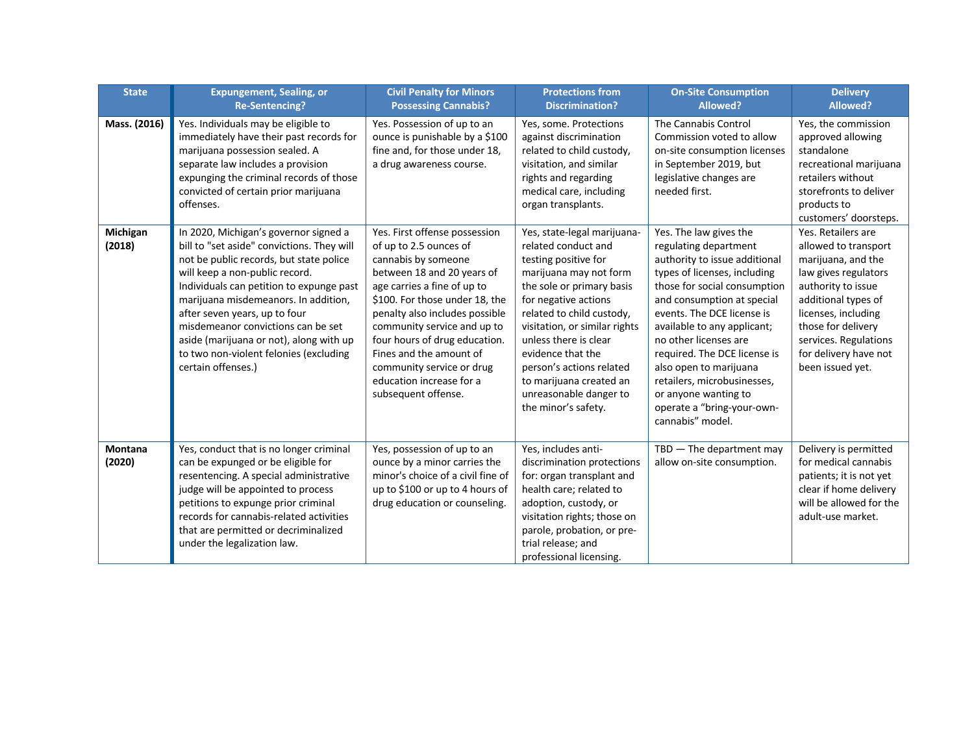| <b>State</b>             | <b>Expungement, Sealing, or</b><br><b>Re-Sentencing?</b>                                                                                                                                                                                                                                                                                                                                                                               | <b>Civil Penalty for Minors</b><br><b>Possessing Cannabis?</b>                                                                                                                                                                                                                                                                                                                             | <b>Protections from</b><br><b>Discrimination?</b>                                                                                                                                                                                                                                                                                                                             | <b>On-Site Consumption</b><br>Allowed?                                                                                                                                                                                                                                                                                                                                                                                                  | <b>Delivery</b><br>Allowed?                                                                                                                                                                                                                              |
|--------------------------|----------------------------------------------------------------------------------------------------------------------------------------------------------------------------------------------------------------------------------------------------------------------------------------------------------------------------------------------------------------------------------------------------------------------------------------|--------------------------------------------------------------------------------------------------------------------------------------------------------------------------------------------------------------------------------------------------------------------------------------------------------------------------------------------------------------------------------------------|-------------------------------------------------------------------------------------------------------------------------------------------------------------------------------------------------------------------------------------------------------------------------------------------------------------------------------------------------------------------------------|-----------------------------------------------------------------------------------------------------------------------------------------------------------------------------------------------------------------------------------------------------------------------------------------------------------------------------------------------------------------------------------------------------------------------------------------|----------------------------------------------------------------------------------------------------------------------------------------------------------------------------------------------------------------------------------------------------------|
| Mass. (2016)             | Yes. Individuals may be eligible to<br>immediately have their past records for<br>marijuana possession sealed. A<br>separate law includes a provision<br>expunging the criminal records of those<br>convicted of certain prior marijuana<br>offenses.                                                                                                                                                                                  | Yes. Possession of up to an<br>ounce is punishable by a \$100<br>fine and, for those under 18,<br>a drug awareness course.                                                                                                                                                                                                                                                                 | Yes, some. Protections<br>against discrimination<br>related to child custody,<br>visitation, and similar<br>rights and regarding<br>medical care, including<br>organ transplants.                                                                                                                                                                                             | The Cannabis Control<br>Commission voted to allow<br>on-site consumption licenses<br>in September 2019, but<br>legislative changes are<br>needed first.                                                                                                                                                                                                                                                                                 | Yes, the commission<br>approved allowing<br>standalone<br>recreational marijuana<br>retailers without<br>storefronts to deliver<br>products to<br>customers' doorsteps.                                                                                  |
| Michigan<br>(2018)       | In 2020, Michigan's governor signed a<br>bill to "set aside" convictions. They will<br>not be public records, but state police<br>will keep a non-public record.<br>Individuals can petition to expunge past<br>marijuana misdemeanors. In addition,<br>after seven years, up to four<br>misdemeanor convictions can be set<br>aside (marijuana or not), along with up<br>to two non-violent felonies (excluding<br>certain offenses.) | Yes. First offense possession<br>of up to 2.5 ounces of<br>cannabis by someone<br>between 18 and 20 years of<br>age carries a fine of up to<br>\$100. For those under 18, the<br>penalty also includes possible<br>community service and up to<br>four hours of drug education.<br>Fines and the amount of<br>community service or drug<br>education increase for a<br>subsequent offense. | Yes, state-legal marijuana-<br>related conduct and<br>testing positive for<br>marijuana may not form<br>the sole or primary basis<br>for negative actions<br>related to child custody,<br>visitation, or similar rights<br>unless there is clear<br>evidence that the<br>person's actions related<br>to marijuana created an<br>unreasonable danger to<br>the minor's safety. | Yes. The law gives the<br>regulating department<br>authority to issue additional<br>types of licenses, including<br>those for social consumption<br>and consumption at special<br>events. The DCE license is<br>available to any applicant;<br>no other licenses are<br>required. The DCE license is<br>also open to marijuana<br>retailers, microbusinesses,<br>or anyone wanting to<br>operate a "bring-your-own-<br>cannabis" model. | Yes. Retailers are<br>allowed to transport<br>marijuana, and the<br>law gives regulators<br>authority to issue<br>additional types of<br>licenses, including<br>those for delivery<br>services. Regulations<br>for delivery have not<br>been issued yet. |
| <b>Montana</b><br>(2020) | Yes, conduct that is no longer criminal<br>can be expunged or be eligible for<br>resentencing. A special administrative<br>judge will be appointed to process<br>petitions to expunge prior criminal<br>records for cannabis-related activities<br>that are permitted or decriminalized<br>under the legalization law.                                                                                                                 | Yes, possession of up to an<br>ounce by a minor carries the<br>minor's choice of a civil fine of<br>up to \$100 or up to 4 hours of<br>drug education or counseling.                                                                                                                                                                                                                       | Yes, includes anti-<br>discrimination protections<br>for: organ transplant and<br>health care; related to<br>adoption, custody, or<br>visitation rights; those on<br>parole, probation, or pre-<br>trial release; and<br>professional licensing.                                                                                                                              | $TBD$ - The department may<br>allow on-site consumption.                                                                                                                                                                                                                                                                                                                                                                                | Delivery is permitted<br>for medical cannabis<br>patients; it is not yet<br>clear if home delivery<br>will be allowed for the<br>adult-use market.                                                                                                       |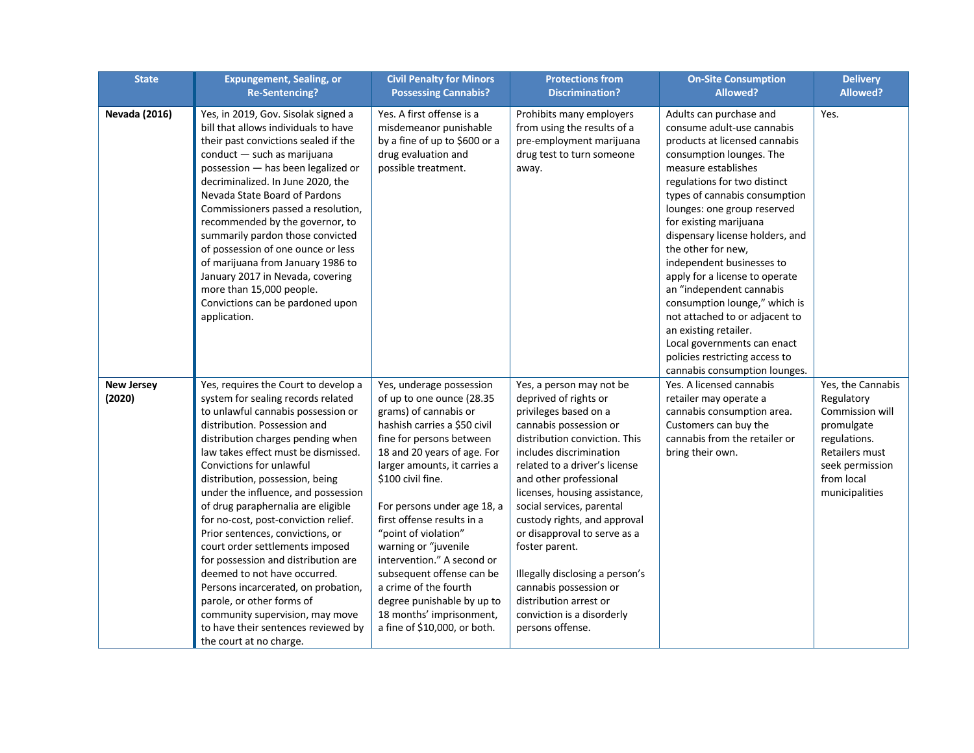| <b>State</b>                | <b>Expungement, Sealing, or</b><br><b>Re-Sentencing?</b>                                                                                                                                                                                                                                                                                                                                                                                                                                                                                                                                                                                                                                                                                | <b>Civil Penalty for Minors</b><br><b>Possessing Cannabis?</b>                                                                                                                                                                                                                                                                                                                                                                                                                                                            | <b>Protections from</b><br><b>Discrimination?</b>                                                                                                                                                                                                                                                                                                                                                                                                                                                                    | <b>On-Site Consumption</b><br>Allowed?                                                                                                                                                                                                                                                                                                                                                                                                                                                                                                                                                                                | <b>Delivery</b><br>Allowed?                                                                                                                           |
|-----------------------------|-----------------------------------------------------------------------------------------------------------------------------------------------------------------------------------------------------------------------------------------------------------------------------------------------------------------------------------------------------------------------------------------------------------------------------------------------------------------------------------------------------------------------------------------------------------------------------------------------------------------------------------------------------------------------------------------------------------------------------------------|---------------------------------------------------------------------------------------------------------------------------------------------------------------------------------------------------------------------------------------------------------------------------------------------------------------------------------------------------------------------------------------------------------------------------------------------------------------------------------------------------------------------------|----------------------------------------------------------------------------------------------------------------------------------------------------------------------------------------------------------------------------------------------------------------------------------------------------------------------------------------------------------------------------------------------------------------------------------------------------------------------------------------------------------------------|-----------------------------------------------------------------------------------------------------------------------------------------------------------------------------------------------------------------------------------------------------------------------------------------------------------------------------------------------------------------------------------------------------------------------------------------------------------------------------------------------------------------------------------------------------------------------------------------------------------------------|-------------------------------------------------------------------------------------------------------------------------------------------------------|
| <b>Nevada (2016)</b>        | Yes, in 2019, Gov. Sisolak signed a<br>bill that allows individuals to have<br>their past convictions sealed if the<br>conduct - such as marijuana<br>possession - has been legalized or<br>decriminalized. In June 2020, the<br>Nevada State Board of Pardons<br>Commissioners passed a resolution,<br>recommended by the governor, to<br>summarily pardon those convicted<br>of possession of one ounce or less<br>of marijuana from January 1986 to<br>January 2017 in Nevada, covering<br>more than 15,000 people.<br>Convictions can be pardoned upon<br>application.                                                                                                                                                              | Yes. A first offense is a<br>misdemeanor punishable<br>by a fine of up to \$600 or a<br>drug evaluation and<br>possible treatment.                                                                                                                                                                                                                                                                                                                                                                                        | Prohibits many employers<br>from using the results of a<br>pre-employment marijuana<br>drug test to turn someone<br>away.                                                                                                                                                                                                                                                                                                                                                                                            | Adults can purchase and<br>consume adult-use cannabis<br>products at licensed cannabis<br>consumption lounges. The<br>measure establishes<br>regulations for two distinct<br>types of cannabis consumption<br>lounges: one group reserved<br>for existing marijuana<br>dispensary license holders, and<br>the other for new,<br>independent businesses to<br>apply for a license to operate<br>an "independent cannabis<br>consumption lounge," which is<br>not attached to or adjacent to<br>an existing retailer.<br>Local governments can enact<br>policies restricting access to<br>cannabis consumption lounges. | Yes.                                                                                                                                                  |
| <b>New Jersey</b><br>(2020) | Yes, requires the Court to develop a<br>system for sealing records related<br>to unlawful cannabis possession or<br>distribution. Possession and<br>distribution charges pending when<br>law takes effect must be dismissed.<br>Convictions for unlawful<br>distribution, possession, being<br>under the influence, and possession<br>of drug paraphernalia are eligible<br>for no-cost, post-conviction relief.<br>Prior sentences, convictions, or<br>court order settlements imposed<br>for possession and distribution are<br>deemed to not have occurred.<br>Persons incarcerated, on probation,<br>parole, or other forms of<br>community supervision, may move<br>to have their sentences reviewed by<br>the court at no charge. | Yes, underage possession<br>of up to one ounce (28.35<br>grams) of cannabis or<br>hashish carries a \$50 civil<br>fine for persons between<br>18 and 20 years of age. For<br>larger amounts, it carries a<br>\$100 civil fine.<br>For persons under age 18, a<br>first offense results in a<br>"point of violation"<br>warning or "juvenile<br>intervention." A second or<br>subsequent offense can be<br>a crime of the fourth<br>degree punishable by up to<br>18 months' imprisonment,<br>a fine of \$10,000, or both. | Yes, a person may not be<br>deprived of rights or<br>privileges based on a<br>cannabis possession or<br>distribution conviction. This<br>includes discrimination<br>related to a driver's license<br>and other professional<br>licenses, housing assistance,<br>social services, parental<br>custody rights, and approval<br>or disapproval to serve as a<br>foster parent.<br>Illegally disclosing a person's<br>cannabis possession or<br>distribution arrest or<br>conviction is a disorderly<br>persons offense. | Yes. A licensed cannabis<br>retailer may operate a<br>cannabis consumption area.<br>Customers can buy the<br>cannabis from the retailer or<br>bring their own.                                                                                                                                                                                                                                                                                                                                                                                                                                                        | Yes, the Cannabis<br>Regulatory<br>Commission will<br>promulgate<br>regulations.<br>Retailers must<br>seek permission<br>from local<br>municipalities |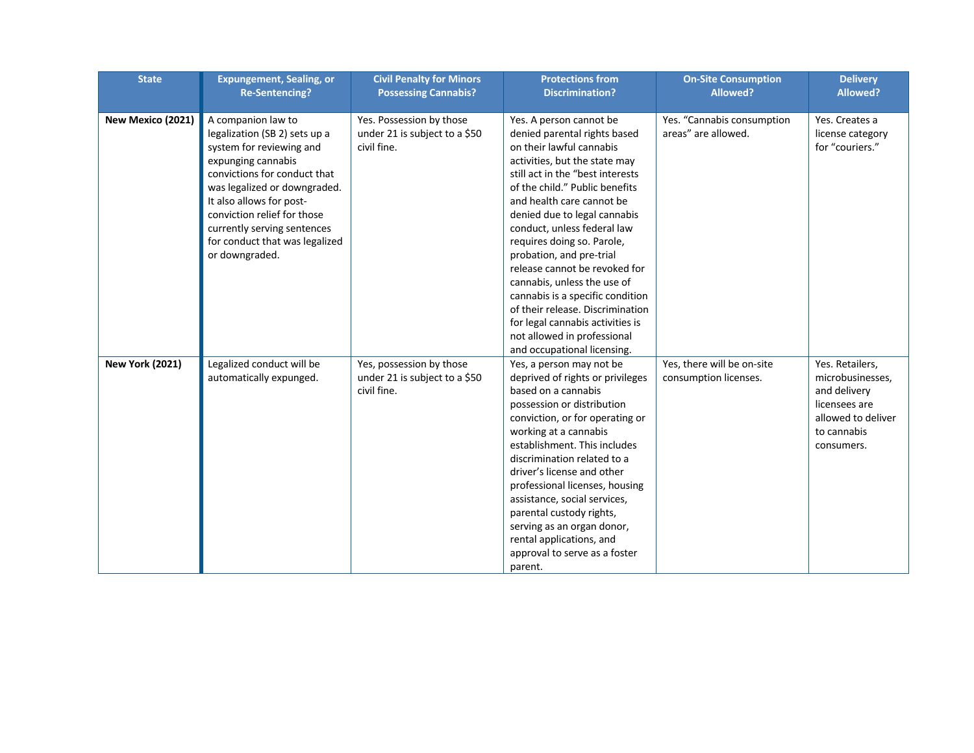| <b>State</b>           | <b>Expungement, Sealing, or</b><br><b>Re-Sentencing?</b>                                                                                                                                                                                                                                                            | <b>Civil Penalty for Minors</b><br><b>Possessing Cannabis?</b>           | <b>Protections from</b><br><b>Discrimination?</b>                                                                                                                                                                                                                                                                                                                                                                                                                                                                                                                                          | <b>On-Site Consumption</b><br>Allowed?              | <b>Delivery</b><br><b>Allowed?</b>                                                                                      |
|------------------------|---------------------------------------------------------------------------------------------------------------------------------------------------------------------------------------------------------------------------------------------------------------------------------------------------------------------|--------------------------------------------------------------------------|--------------------------------------------------------------------------------------------------------------------------------------------------------------------------------------------------------------------------------------------------------------------------------------------------------------------------------------------------------------------------------------------------------------------------------------------------------------------------------------------------------------------------------------------------------------------------------------------|-----------------------------------------------------|-------------------------------------------------------------------------------------------------------------------------|
| New Mexico (2021)      | A companion law to<br>legalization (SB 2) sets up a<br>system for reviewing and<br>expunging cannabis<br>convictions for conduct that<br>was legalized or downgraded.<br>It also allows for post-<br>conviction relief for those<br>currently serving sentences<br>for conduct that was legalized<br>or downgraded. | Yes. Possession by those<br>under 21 is subject to a \$50<br>civil fine. | Yes. A person cannot be<br>denied parental rights based<br>on their lawful cannabis<br>activities, but the state may<br>still act in the "best interests<br>of the child." Public benefits<br>and health care cannot be<br>denied due to legal cannabis<br>conduct, unless federal law<br>requires doing so. Parole,<br>probation, and pre-trial<br>release cannot be revoked for<br>cannabis, unless the use of<br>cannabis is a specific condition<br>of their release. Discrimination<br>for legal cannabis activities is<br>not allowed in professional<br>and occupational licensing. | Yes. "Cannabis consumption<br>areas" are allowed.   | Yes. Creates a<br>license category<br>for "couriers."                                                                   |
| <b>New York (2021)</b> | Legalized conduct will be<br>automatically expunged.                                                                                                                                                                                                                                                                | Yes, possession by those<br>under 21 is subject to a \$50<br>civil fine. | Yes, a person may not be<br>deprived of rights or privileges<br>based on a cannabis<br>possession or distribution<br>conviction, or for operating or<br>working at a cannabis<br>establishment. This includes<br>discrimination related to a<br>driver's license and other<br>professional licenses, housing<br>assistance, social services,<br>parental custody rights,<br>serving as an organ donor,<br>rental applications, and<br>approval to serve as a foster<br>parent.                                                                                                             | Yes, there will be on-site<br>consumption licenses. | Yes. Retailers,<br>microbusinesses,<br>and delivery<br>licensees are<br>allowed to deliver<br>to cannabis<br>consumers. |